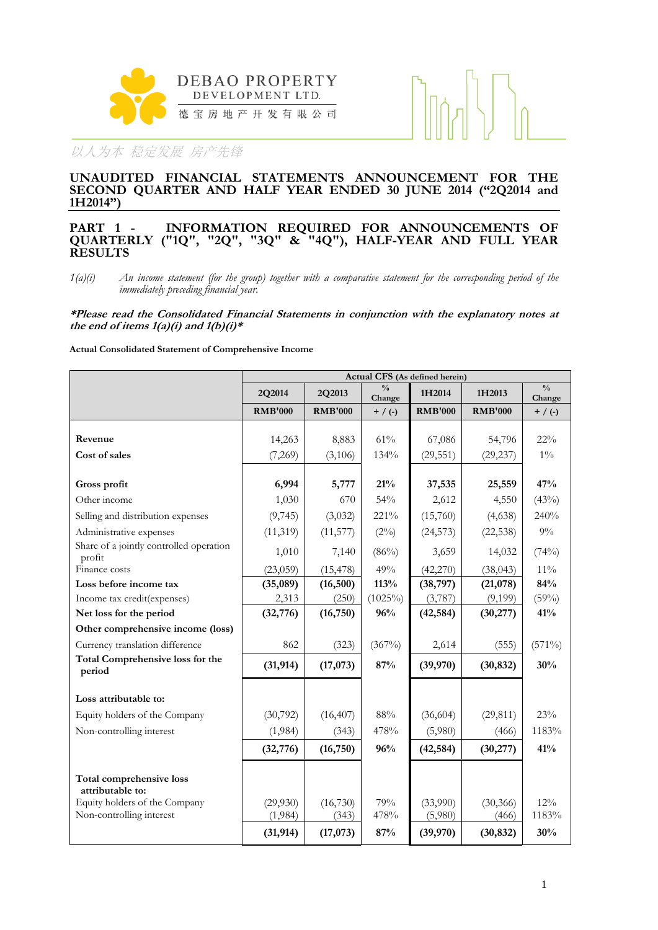



### **UNAUDITED FINANCIAL STATEMENTS ANNOUNCEMENT FOR THE SECOND QUARTER AND HALF YEAR ENDED 30 JUNE 2014 ("2Q2014 and 1H2014")**

### **PART 1 - INFORMATION REQUIRED FOR ANNOUNCEMENTS OF QUARTERLY ("1Q", "2Q", "3Q" & "4Q"), HALF-YEAR AND FULL YEAR RESULTS**

*1(a)(i) An income statement (for the group) together with a comparative statement for the corresponding period of the immediately preceding financial year.* 

**\*Please read the Consolidated Financial Statements in conjunction with the explanatory notes at**  the end of items  $1(a)(i)$  and  $1(b)(i)*$ 

### **Actual Consolidated Statement of Comprehensive Income**

|                                                           |                     |                   |                         | Actual CFS (As defined herein) |                    |                         |
|-----------------------------------------------------------|---------------------|-------------------|-------------------------|--------------------------------|--------------------|-------------------------|
|                                                           | 2Q2014              | 2Q2013            | $\frac{0}{0}$<br>Change | 1H2014                         | 1H2013             | $\frac{0}{0}$<br>Change |
|                                                           | <b>RMB'000</b>      | <b>RMB'000</b>    | $+$ / (-)               | <b>RMB'000</b>                 | <b>RMB'000</b>     | $+$ / (-)               |
| Revenue                                                   | 14,263              | 8,883             | 61%                     | 67,086                         | 54,796             | $22\%$                  |
| Cost of sales                                             | (7,269)             | (3,106)           | 134%                    | (29, 551)                      | (29, 237)          | $1\%$                   |
| Gross profit                                              | 6,994               | 5,777             | 21%                     | 37,535                         | 25,559             | 47%                     |
| Other income                                              | 1,030               | 670               | 54%                     | 2,612                          | 4,550              | (43%)                   |
| Selling and distribution expenses                         | (9,745)             | (3,032)           | 221%                    | (15,760)                       | (4,638)            | 240%                    |
| Administrative expenses                                   | (11, 319)           | (11, 577)         | $(2\%)$                 | (24, 573)                      | (22, 538)          | $9\%$                   |
| Share of a jointly controlled operation<br>profit         | 1,010               | 7,140             | $(86\%)$                | 3,659                          | 14,032             | (74%)                   |
| Finance costs                                             | (23,059)            | (15, 478)         | 49%                     | (42,270)                       | (38, 043)          | $11\%$                  |
| Loss before income tax                                    | (35,089)            | (16, 500)         | 113%                    | (38, 797)                      | (21,078)           | 84%                     |
| Income tax credit(expenses)                               | 2,313               | (250)             | $(1025\%)$              | (3,787)                        | (9,199)            | (59%)                   |
| Net loss for the period                                   | (32, 776)           | (16, 750)         | 96%                     | (42, 584)                      | (30, 277)          | 41%                     |
| Other comprehensive income (loss)                         |                     |                   |                         |                                |                    |                         |
| Currency translation difference                           | 862                 | (323)             | $(367\%)$               | 2,614                          | (555)              | $(571\%)$               |
| <b>Total Comprehensive loss for the</b><br>period         | (31, 914)           | (17,073)          | 87%                     | (39,970)                       | (30, 832)          | 30%                     |
| Loss attributable to:                                     |                     |                   |                         |                                |                    |                         |
| Equity holders of the Company                             | (30, 792)           | (16, 407)         | 88%                     | (36,604)                       | (29, 811)          | 23%                     |
| Non-controlling interest                                  | (1,984)             | (343)             | 478%                    | (5,980)                        | (466)              | 1183%                   |
|                                                           | (32, 776)           | (16, 750)         | 96%                     | (42, 584)                      | (30, 277)          | 41%                     |
| <b>Total comprehensive loss</b><br>attributable to:       |                     |                   |                         |                                |                    |                         |
| Equity holders of the Company<br>Non-controlling interest | (29,930)<br>(1,984) | (16,730)<br>(343) | 79%<br>478%             | (33,990)<br>(5,980)            | (30, 366)<br>(466) | 12%<br>1183%            |
|                                                           | (31, 914)           | (17,073)          | 87%                     | (39,970)                       | (30, 832)          | 30%                     |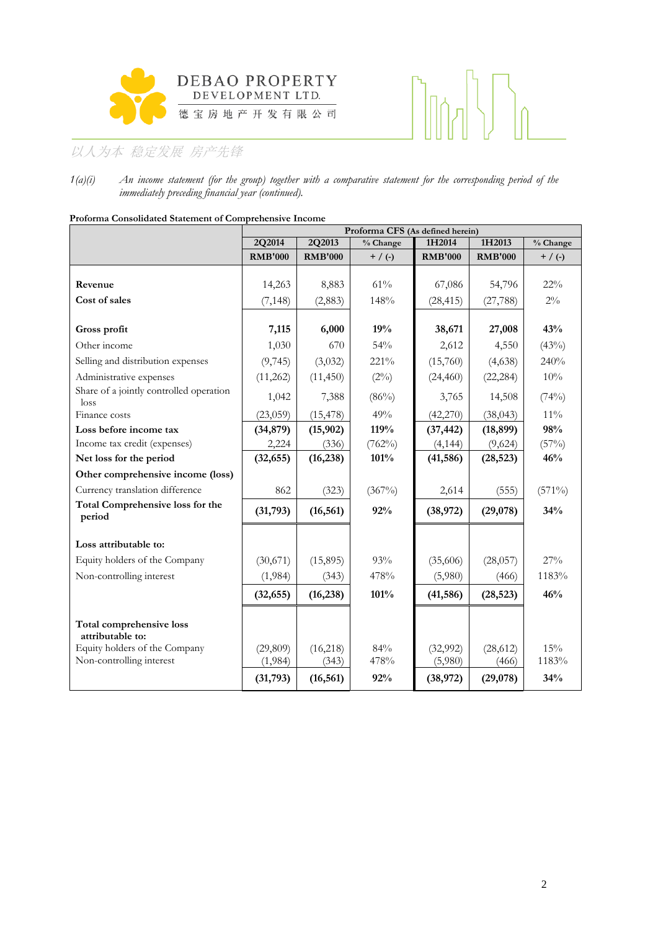



*1(a)(i) An income statement (for the group) together with a comparative statement for the corresponding period of the immediately preceding financial year (continued).* 

| r roionna Consonuateu statement or Comprenensive meome |                |                | Proforma CFS (As defined herein) |                |                |           |
|--------------------------------------------------------|----------------|----------------|----------------------------------|----------------|----------------|-----------|
|                                                        | 2Q2014         | 2Q2013         | % Change                         | 1H2014         | 1H2013         | % Change  |
|                                                        | <b>RMB'000</b> | <b>RMB'000</b> | $+$ / (-)                        | <b>RMB'000</b> | <b>RMB'000</b> | $+$ / (-) |
|                                                        |                |                |                                  |                |                |           |
| Revenue                                                | 14,263         | 8,883          | 61%                              | 67,086         | 54,796         | $22\%$    |
| Cost of sales                                          | (7, 148)       | (2,883)        | 148%                             | (28, 415)      | (27, 788)      | $2\%$     |
|                                                        |                |                |                                  |                |                |           |
| Gross profit                                           | 7,115          | 6,000          | 19%                              | 38,671         | 27,008         | 43%       |
| Other income                                           | 1,030          | 670            | 54%                              | 2,612          | 4,550          | (43%)     |
| Selling and distribution expenses                      | (9,745)        | (3,032)        | 221%                             | (15,760)       | (4,638)        | 240%      |
| Administrative expenses                                | (11,262)       | (11, 450)      | $(2\%)$                          | (24, 460)      | (22, 284)      | $10\%$    |
| Share of a jointly controlled operation<br>loss        | 1,042          | 7,388          | $(86\%)$                         | 3,765          | 14,508         | (74%)     |
| Finance costs                                          | (23,059)       | (15, 478)      | 49%                              | (42, 270)      | (38, 043)      | $11\%$    |
| Loss before income tax                                 | (34, 879)      | (15, 902)      | 119%                             | (37, 442)      | (18, 899)      | 98%       |
| Income tax credit (expenses)                           | 2,224          | (336)          | (762%)                           | (4, 144)       | (9,624)        | (57%)     |
| Net loss for the period                                | (32, 655)      | (16, 238)      | 101%                             | (41, 586)      | (28, 523)      | 46%       |
| Other comprehensive income (loss)                      |                |                |                                  |                |                |           |
| Currency translation difference                        | 862            | (323)          | $(367\%)$                        | 2,614          | (555)          | $(571\%)$ |
| <b>Total Comprehensive loss for the</b><br>period      | (31,793)       | (16, 561)      | 92%                              | (38,972)       | (29,078)       | 34%       |
| Loss attributable to:                                  |                |                |                                  |                |                |           |
| Equity holders of the Company                          | (30,671)       | (15,895)       | 93%                              | (35,606)       | (28,057)       | 27%       |
| Non-controlling interest                               | (1,984)        | (343)          | 478%                             | (5,980)        | (466)          | 1183%     |
|                                                        | (32, 655)      | (16, 238)      | 101%                             | (41, 586)      | (28, 523)      | 46%       |
| Total comprehensive loss<br>attributable to:           |                |                |                                  |                |                |           |
| Equity holders of the Company                          | (29,809)       | (16,218)       | 84%                              | (32,992)       | (28, 612)      | 15%       |
| Non-controlling interest                               | (1,984)        | (343)          | 478%                             | (5,980)        | (466)          | 1183%     |
|                                                        | (31,793)       | (16, 561)      | 92%                              | (38,972)       | (29,078)       | 34%       |

**Proforma Consolidated Statement of Comprehensive Income**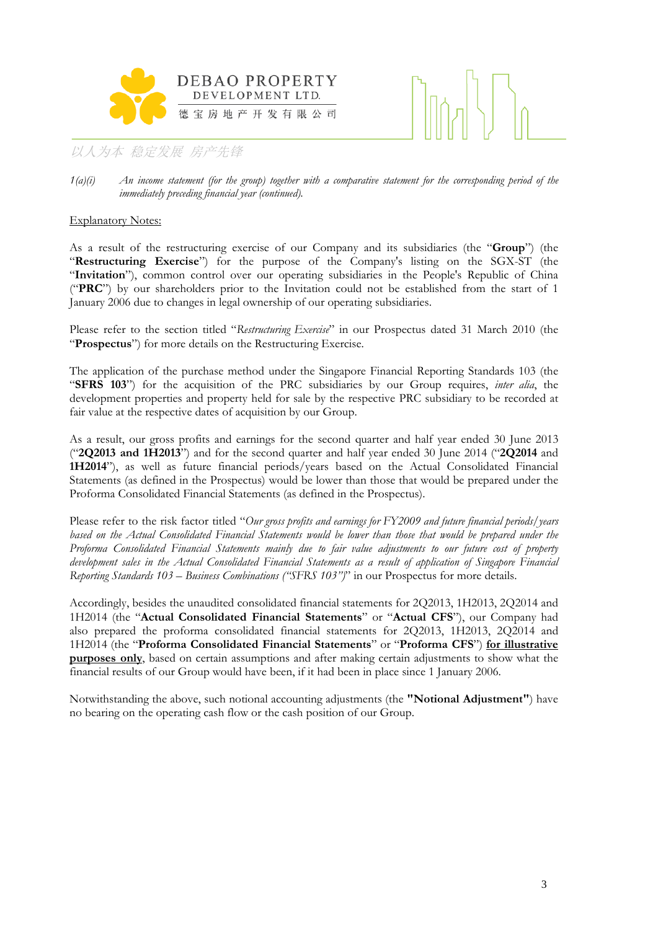



*1(a)(i) An income statement (for the group) together with a comparative statement for the corresponding period of the immediately preceding financial year (continued).* 

### Explanatory Notes:

As a result of the restructuring exercise of our Company and its subsidiaries (the "**Group**") (the "**Restructuring Exercise**") for the purpose of the Company's listing on the SGX-ST (the "**Invitation**"), common control over our operating subsidiaries in the People's Republic of China ("**PRC**") by our shareholders prior to the Invitation could not be established from the start of 1 January 2006 due to changes in legal ownership of our operating subsidiaries.

Please refer to the section titled "*Restructuring Exercise*" in our Prospectus dated 31 March 2010 (the "**Prospectus**") for more details on the Restructuring Exercise.

The application of the purchase method under the Singapore Financial Reporting Standards 103 (the "**SFRS 103**") for the acquisition of the PRC subsidiaries by our Group requires, *inter alia*, the development properties and property held for sale by the respective PRC subsidiary to be recorded at fair value at the respective dates of acquisition by our Group.

As a result, our gross profits and earnings for the second quarter and half year ended 30 June 2013 ("**2Q2013 and 1H2013**") and for the second quarter and half year ended 30 June 2014 ("**2Q2014** and **1H2014**"), as well as future financial periods/years based on the Actual Consolidated Financial Statements (as defined in the Prospectus) would be lower than those that would be prepared under the Proforma Consolidated Financial Statements (as defined in the Prospectus).

Please refer to the risk factor titled "*Our gross profits and earnings for FY2009 and future financial periods/years*  based on the Actual Consolidated Financial Statements would be lower than those that would be prepared under the *Proforma Consolidated Financial Statements mainly due to fair value adjustments to our future cost of property development sales in the Actual Consolidated Financial Statements as a result of application of Singapore Financial Reporting Standards 103 – Business Combinations ("SFRS 103")*" in our Prospectus for more details.

Accordingly, besides the unaudited consolidated financial statements for 2Q2013, 1H2013, 2Q2014 and 1H2014 (the "**Actual Consolidated Financial Statements**" or "**Actual CFS**"), our Company had also prepared the proforma consolidated financial statements for 2Q2013, 1H2013, 2Q2014 and 1H2014 (the "**Proforma Consolidated Financial Statements**" or "**Proforma CFS**") **for illustrative purposes only**, based on certain assumptions and after making certain adjustments to show what the financial results of our Group would have been, if it had been in place since 1 January 2006.

Notwithstanding the above, such notional accounting adjustments (the **"Notional Adjustment"**) have no bearing on the operating cash flow or the cash position of our Group.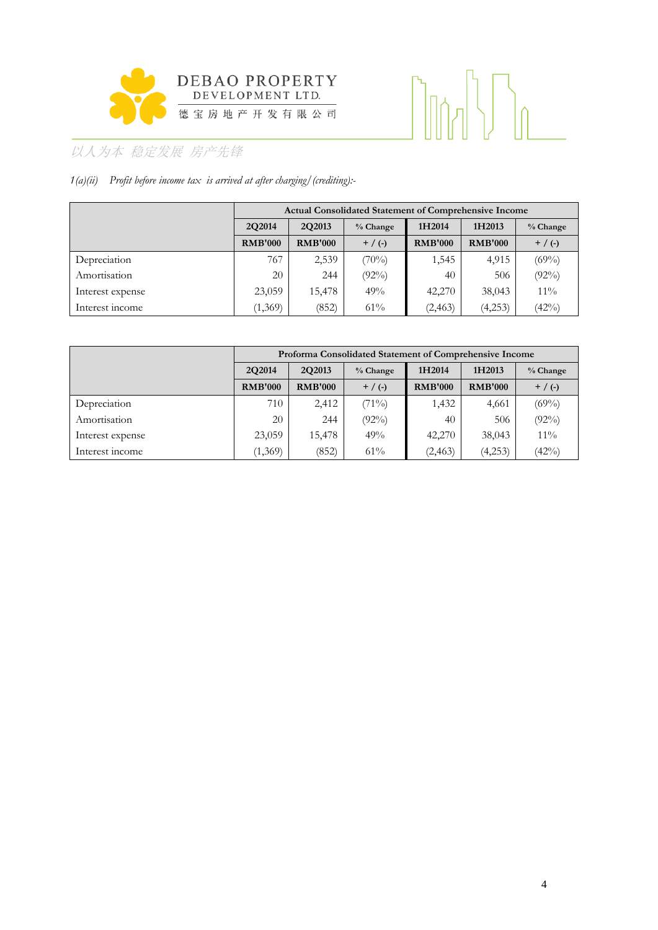

# 

# 以人为本 稳定发展 房产先锋

### *1(a)(ii) Profit before income tax is arrived at after charging/(crediting):-*

|                  |                |                | <b>Actual Consolidated Statement of Comprehensive Income</b> |                |                |            |
|------------------|----------------|----------------|--------------------------------------------------------------|----------------|----------------|------------|
|                  | 2O2014         | 2Q2013         | % Change                                                     | 1H2014         | 1H2013         | $%$ Change |
|                  | <b>RMB'000</b> | <b>RMB'000</b> | $+$ / (-)                                                    | <b>RMB'000</b> | <b>RMB'000</b> | $+$ / (-)  |
| Depreciation     | 767            | 2,539          | (70%)                                                        | 1,545          | 4,915          | $(69\%)$   |
| Amortisation     | 20             | 244            | $(92\%)$                                                     | 40             | 506            | $(92\%)$   |
| Interest expense | 23,059         | 15,478         | 49%                                                          | 42,270         | 38,043         | $11\%$     |
| Interest income  | (1,369)        | (852)          | 61%                                                          | (2, 463)       | (4,253)        | (42%)      |

|                  |                                |                | Proforma Consolidated Statement of Comprehensive Income |                |                |           |
|------------------|--------------------------------|----------------|---------------------------------------------------------|----------------|----------------|-----------|
|                  | 2Q2013<br>2O2014<br>$%$ Change |                | 1H2014                                                  | 1H2013         | $%$ Change     |           |
|                  | <b>RMB'000</b>                 | <b>RMB'000</b> | $+$ / (-)                                               | <b>RMB'000</b> | <b>RMB'000</b> | $+$ / (-) |
| Depreciation     | 710                            | 2,412          | (71%)                                                   | 1,432          | 4,661          | $(69\%)$  |
| Amortisation     | 20                             | 244            | $(92\%)$                                                | 40             | 506            | $(92\%)$  |
| Interest expense | 23,059                         | 15,478         | 49%                                                     | 42,270         | 38,043         | $11\%$    |
| Interest income  | (1,369)                        | (852)          | 61%                                                     | (2, 463)       | (4,253)        | (42%)     |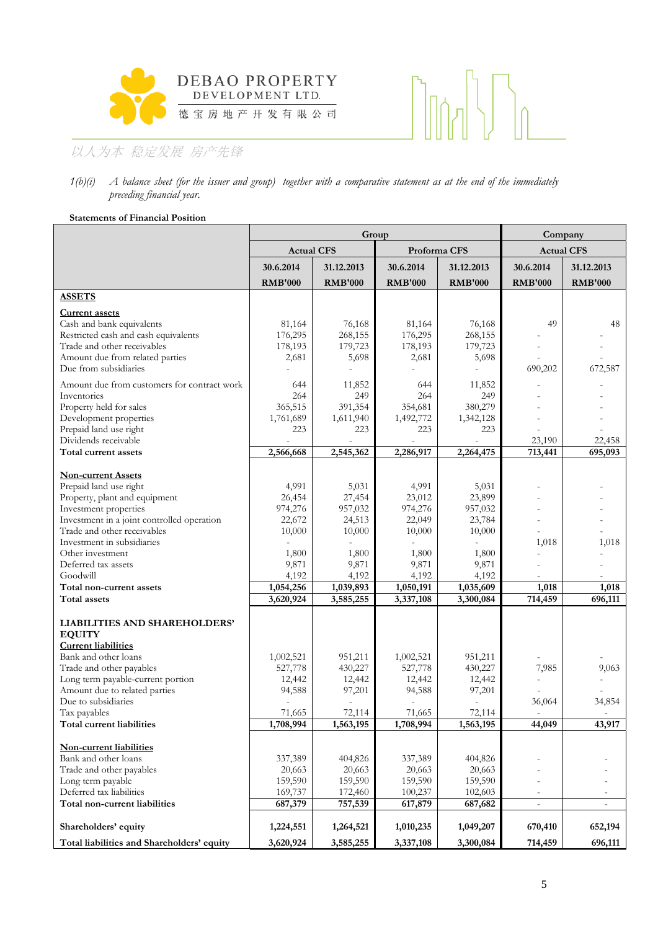



### *1(b)(i) A balance sheet (for the issuer and group) together with a comparative statement as at the end of the immediately preceding financial year.*

### **Statements of Financial Position**

|                                                      |                   | Group          |                |                | Company                            |                          |  |
|------------------------------------------------------|-------------------|----------------|----------------|----------------|------------------------------------|--------------------------|--|
|                                                      | <b>Actual CFS</b> |                | Proforma CFS   |                | <b>Actual CFS</b>                  |                          |  |
|                                                      | 30.6.2014         | 31.12.2013     | 30.6.2014      | 31.12.2013     | 30.6.2014                          | 31.12.2013               |  |
|                                                      | <b>RMB'000</b>    | <b>RMB'000</b> | <b>RMB'000</b> | <b>RMB'000</b> | <b>RMB'000</b>                     | <b>RMB'000</b>           |  |
| <b>ASSETS</b>                                        |                   |                |                |                |                                    |                          |  |
| <b>Current assets</b>                                |                   |                |                |                |                                    |                          |  |
| Cash and bank equivalents                            | 81,164            | 76,168         | 81,164         | 76,168         | 49                                 | 48                       |  |
| Restricted cash and cash equivalents                 | 176,295           | 268,155        | 176,295        | 268,155        |                                    |                          |  |
| Trade and other receivables                          | 178,193           | 179,723        | 178,193        | 179,723        |                                    |                          |  |
| Amount due from related parties                      | 2,681             | 5,698          | 2,681          | 5,698          |                                    |                          |  |
| Due from subsidiaries                                |                   |                |                |                | 690,202                            | 672,587                  |  |
| Amount due from customers for contract work          | 644               | 11,852         | 644            | 11,852         |                                    |                          |  |
| Inventories                                          | 264               | 249            | 264            | 249            |                                    |                          |  |
| Property held for sales                              | 365,515           | 391,354        | 354,681        | 380,279        |                                    |                          |  |
| Development properties                               | 1,761,689         | 1,611,940      | 1,492,772      | 1,342,128      |                                    |                          |  |
| Prepaid land use right<br>Dividends receivable       | 223               | 223            | 223            | 223            | 23,190                             | 22,458                   |  |
| Total current assets                                 | 2,566,668         | 2,545,362      | 2,286,917      | 2,264,475      | 713,441                            | 695,093                  |  |
|                                                      |                   |                |                |                |                                    |                          |  |
| <b>Non-current Assets</b>                            |                   |                |                |                |                                    |                          |  |
| Prepaid land use right                               | 4,991             | 5,031          | 4,991          | 5,031          |                                    |                          |  |
| Property, plant and equipment                        | 26,454            | 27,454         | 23,012         | 23,899         |                                    |                          |  |
| Investment properties                                | 974,276           | 957,032        | 974,276        | 957,032        |                                    |                          |  |
| Investment in a joint controlled operation           | 22,672            | 24,513         | 22,049         | 23,784         | $\overline{a}$                     |                          |  |
| Trade and other receivables                          | 10,000            | 10,000         | 10,000         | 10,000         |                                    |                          |  |
| Investment in subsidiaries                           |                   |                |                |                | 1,018                              | 1,018                    |  |
| Other investment                                     | 1,800             | 1,800          | 1,800          | 1,800          |                                    |                          |  |
| Deferred tax assets<br>Goodwill                      | 9,871<br>4,192    | 9,871<br>4,192 | 9,871<br>4,192 | 9,871<br>4,192 |                                    |                          |  |
| Total non-current assets                             | 1,054,256         | 1,039,893      | 1,050,191      | 1,035,609      | 1,018                              | 1,018                    |  |
| Total assets                                         | 3,620,924         | 3,585,255      | 3,337,108      | 3,300,084      | 714,459                            | 696,111                  |  |
|                                                      |                   |                |                |                |                                    |                          |  |
| LIABILITIES AND SHAREHOLDERS'                        |                   |                |                |                |                                    |                          |  |
| <b>EQUITY</b>                                        |                   |                |                |                |                                    |                          |  |
| <b>Current liabilities</b>                           |                   |                |                |                |                                    |                          |  |
| Bank and other loans                                 | 1,002,521         | 951,211        | 1,002,521      | 951,211        |                                    |                          |  |
| Trade and other payables                             | 527,778           | 430,227        | 527,778        | 430,227        | 7,985                              | 9,063                    |  |
| Long term payable-current portion                    | 12,442            | 12,442         | 12,442         | 12,442         |                                    |                          |  |
| Amount due to related parties<br>Due to subsidiaries | 94,588            | 97,201         | 94,588         | 97,201         |                                    | 34,854                   |  |
| Tax payables                                         | 71,665            | 72,114         | 71,665         | 72,114         | 36,064<br>$\overline{\phantom{a}}$ |                          |  |
| Total current liabilities                            | 1,708,994         | 1,563,195      | 1,708,994      | 1,563,195      | 44,049                             | 43,917                   |  |
|                                                      |                   |                |                |                |                                    |                          |  |
| Non-current liabilities                              |                   |                |                |                |                                    |                          |  |
| Bank and other loans                                 | 337,389           | 404,826        | 337,389        | 404,826        |                                    |                          |  |
| Trade and other payables                             | 20,663            | 20,663         | 20,663         | 20,663         |                                    |                          |  |
| Long term payable                                    | 159,590           | 159,590        | 159,590        | 159,590        |                                    |                          |  |
| Deferred tax liabilities                             | 169,737           | 172,460        | 100,237        | 102,603        | $\overline{\phantom{a}}$           | $\overline{\phantom{a}}$ |  |
| Total non-current liabilities                        | 687,379           | 757,539        | 617,879        | 687,682        | $\overline{a}$                     | $\overline{a}$           |  |
| Shareholders' equity                                 | 1,224,551         | 1,264,521      | 1,010,235      | 1,049,207      | 670,410                            | 652,194                  |  |
| Total liabilities and Shareholders' equity           | 3,620,924         | 3,585,255      | 3,337,108      | 3,300,084      | 714,459                            | 696,111                  |  |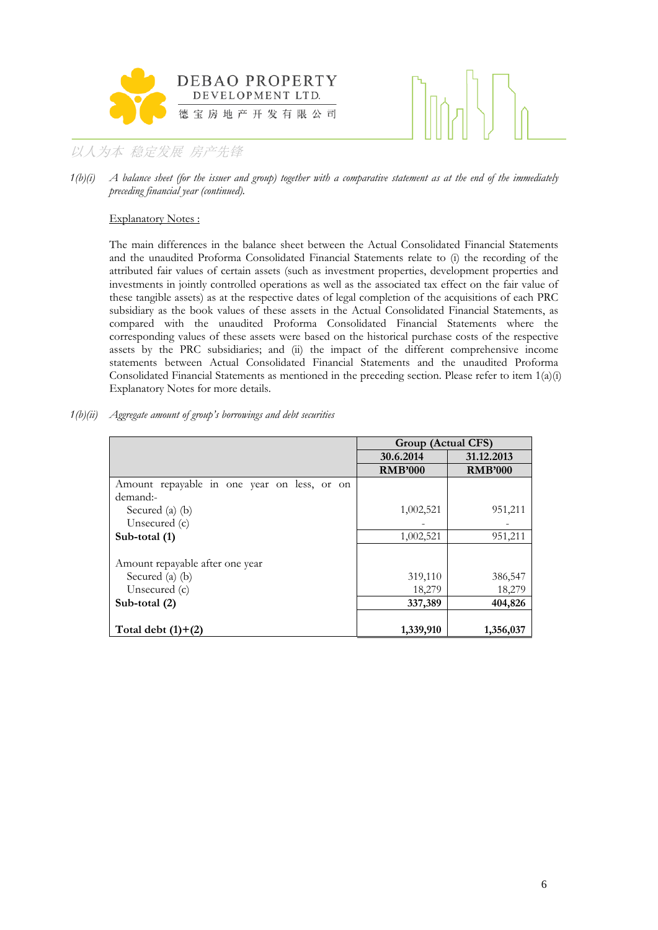



*1(b)(i) A balance sheet (for the issuer and group) together with a comparative statement as at the end of the immediately preceding financial year (continued).* 

### Explanatory Notes :

The main differences in the balance sheet between the Actual Consolidated Financial Statements and the unaudited Proforma Consolidated Financial Statements relate to (i) the recording of the attributed fair values of certain assets (such as investment properties, development properties and investments in jointly controlled operations as well as the associated tax effect on the fair value of these tangible assets) as at the respective dates of legal completion of the acquisitions of each PRC subsidiary as the book values of these assets in the Actual Consolidated Financial Statements, as compared with the unaudited Proforma Consolidated Financial Statements where the corresponding values of these assets were based on the historical purchase costs of the respective assets by the PRC subsidiaries; and (ii) the impact of the different comprehensive income statements between Actual Consolidated Financial Statements and the unaudited Proforma Consolidated Financial Statements as mentioned in the preceding section. Please refer to item 1(a)(i) Explanatory Notes for more details.

| 1(b)(ii) Aggregate amount of group's borrowings and debt securities |  |  |  |  |  |  |  |  |  |
|---------------------------------------------------------------------|--|--|--|--|--|--|--|--|--|
|---------------------------------------------------------------------|--|--|--|--|--|--|--|--|--|

|                                             | Group (Actual CFS) |                |
|---------------------------------------------|--------------------|----------------|
|                                             | 30.6.2014          | 31.12.2013     |
|                                             | <b>RMB'000</b>     | <b>RMB'000</b> |
| Amount repayable in one year on less, or on |                    |                |
| demand:-                                    |                    |                |
| Secured (a) $(b)$                           | 1,002,521          | 951,211        |
| Unsecured $(c)$                             |                    |                |
| Sub-total (1)                               | 1,002,521          | 951,211        |
|                                             |                    |                |
| Amount repayable after one year             |                    |                |
| Secured (a) (b)                             | 319,110            | 386,547        |
| Unsecured $(c)$                             | 18,279             | 18,279         |
| Sub-total (2)                               | 337,389            | 404,826        |
|                                             |                    |                |
| Total debt $(1)+(2)$                        | 1,339,910          | 1,356,037      |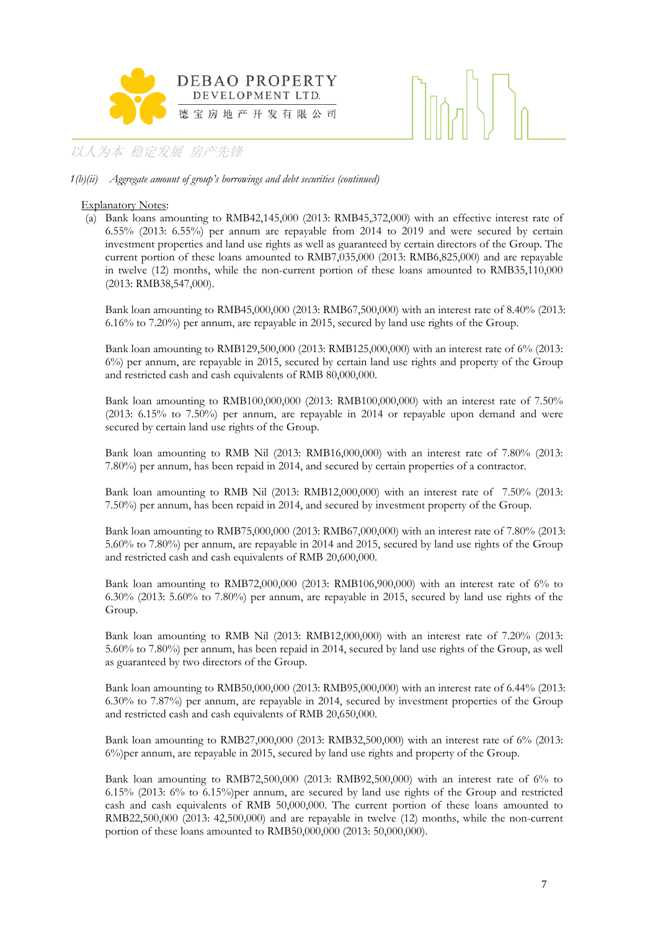

### *1(b)(ii) Aggregate amount of group's borrowings and debt securities (continued)*

### Explanatory Notes:

(a) Bank loans amounting to RMB42,145,000 (2013: RMB45,372,000) with an effective interest rate of 6.55% (2013: 6.55%) per annum are repayable from 2014 to 2019 and were secured by certain investment properties and land use rights as well as guaranteed by certain directors of the Group. The current portion of these loans amounted to RMB7,035,000 (2013: RMB6,825,000) and are repayable in twelve (12) months, while the non-current portion of these loans amounted to RMB35,110,000 (2013: RMB38,547,000).

Bank loan amounting to RMB45,000,000 (2013: RMB67,500,000) with an interest rate of 8.40% (2013: 6.16% to 7.20%) per annum, are repayable in 2015, secured by land use rights of the Group.

Bank loan amounting to RMB129,500,000 (2013: RMB125,000,000) with an interest rate of 6% (2013: 6%) per annum, are repayable in 2015, secured by certain land use rights and property of the Group and restricted cash and cash equivalents of RMB 80,000,000.

Bank loan amounting to RMB100,000,000 (2013: RMB100,000,000) with an interest rate of 7.50% (2013: 6.15% to 7.50%) per annum, are repayable in 2014 or repayable upon demand and were secured by certain land use rights of the Group.

Bank loan amounting to RMB Nil (2013: RMB16,000,000) with an interest rate of 7.80% (2013: 7.80%) per annum, has been repaid in 2014, and secured by certain properties of a contractor.

Bank loan amounting to RMB Nil (2013: RMB12,000,000) with an interest rate of 7.50% (2013: 7.50%) per annum, has been repaid in 2014, and secured by investment property of the Group.

Bank loan amounting to RMB75,000,000 (2013: RMB67,000,000) with an interest rate of 7.80% (2013: 5.60% to 7.80%) per annum, are repayable in 2014 and 2015, secured by land use rights of the Group and restricted cash and cash equivalents of RMB 20,600,000.

Bank loan amounting to RMB72,000,000 (2013: RMB106,900,000) with an interest rate of 6% to 6.30% (2013: 5.60% to 7.80%) per annum, are repayable in 2015, secured by land use rights of the Group.

Bank loan amounting to RMB Nil (2013: RMB12,000,000) with an interest rate of 7.20% (2013: 5.60% to 7.80%) per annum, has been repaid in 2014, secured by land use rights of the Group, as well as guaranteed by two directors of the Group.

Bank loan amounting to RMB50,000,000 (2013: RMB95,000,000) with an interest rate of 6.44% (2013: 6.30% to 7.87%) per annum, are repayable in 2014, secured by investment properties of the Group and restricted cash and cash equivalents of RMB 20,650,000.

Bank loan amounting to RMB27,000,000 (2013: RMB32,500,000) with an interest rate of 6% (2013: 6%)per annum, are repayable in 2015, secured by land use rights and property of the Group.

Bank loan amounting to RMB72,500,000 (2013: RMB92,500,000) with an interest rate of 6% to 6.15% (2013: 6% to 6.15%)per annum, are secured by land use rights of the Group and restricted cash and cash equivalents of RMB 50,000,000. The current portion of these loans amounted to RMB22,500,000 (2013: 42,500,000) and are repayable in twelve (12) months, while the non-current portion of these loans amounted to RMB50,000,000 (2013: 50,000,000).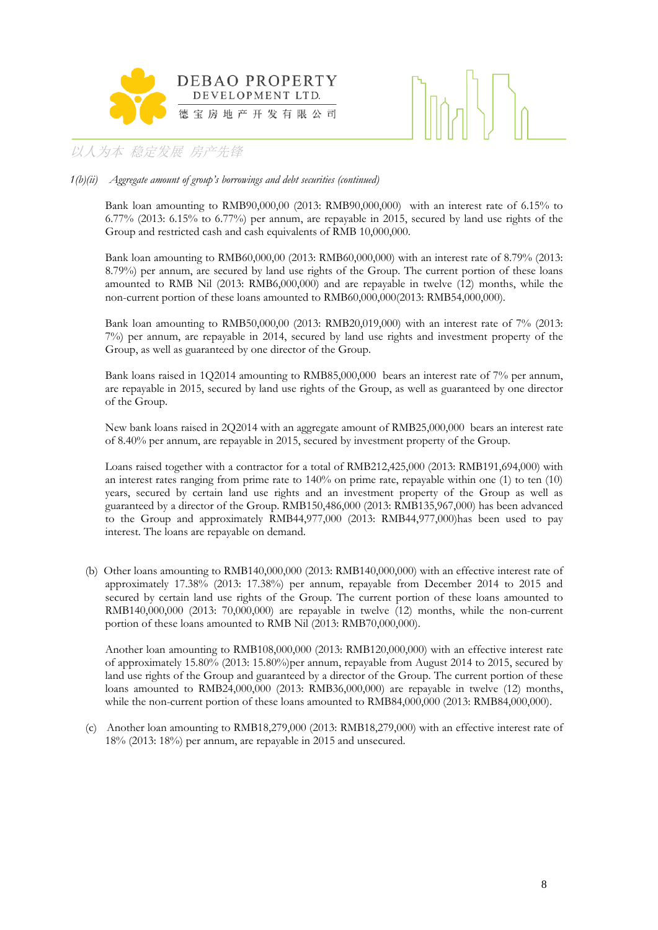



### *1(b)(ii) Aggregate amount of group's borrowings and debt securities (continued)*

Bank loan amounting to RMB90,000,00 (2013: RMB90,000,000) with an interest rate of 6.15% to 6.77% (2013: 6.15% to 6.77%) per annum, are repayable in 2015, secured by land use rights of the Group and restricted cash and cash equivalents of RMB 10,000,000.

Bank loan amounting to RMB60,000,00 (2013: RMB60,000,000) with an interest rate of 8.79% (2013: 8.79%) per annum, are secured by land use rights of the Group. The current portion of these loans amounted to RMB Nil (2013: RMB6,000,000) and are repayable in twelve (12) months, while the non-current portion of these loans amounted to RMB60,000,000(2013: RMB54,000,000).

Bank loan amounting to RMB50,000,00 (2013: RMB20,019,000) with an interest rate of 7% (2013: 7%) per annum, are repayable in 2014, secured by land use rights and investment property of the Group, as well as guaranteed by one director of the Group.

Bank loans raised in 1Q2014 amounting to RMB85,000,000 bears an interest rate of 7% per annum, are repayable in 2015, secured by land use rights of the Group, as well as guaranteed by one director of the Group.

New bank loans raised in 2Q2014 with an aggregate amount of RMB25,000,000 bears an interest rate of 8.40% per annum, are repayable in 2015, secured by investment property of the Group.

Loans raised together with a contractor for a total of RMB212,425,000 (2013: RMB191,694,000) with an interest rates ranging from prime rate to 140% on prime rate, repayable within one (1) to ten (10) years, secured by certain land use rights and an investment property of the Group as well as guaranteed by a director of the Group. RMB150,486,000 (2013: RMB135,967,000) has been advanced to the Group and approximately RMB44,977,000 (2013: RMB44,977,000)has been used to pay interest. The loans are repayable on demand.

(b) Other loans amounting to RMB140,000,000 (2013: RMB140,000,000) with an effective interest rate of approximately 17.38% (2013: 17.38%) per annum, repayable from December 2014 to 2015 and secured by certain land use rights of the Group. The current portion of these loans amounted to RMB140,000,000 (2013: 70,000,000) are repayable in twelve (12) months, while the non-current portion of these loans amounted to RMB Nil (2013: RMB70,000,000).

Another loan amounting to RMB108,000,000 (2013: RMB120,000,000) with an effective interest rate of approximately 15.80% (2013: 15.80%)per annum, repayable from August 2014 to 2015, secured by land use rights of the Group and guaranteed by a director of the Group. The current portion of these loans amounted to RMB24,000,000 (2013: RMB36,000,000) are repayable in twelve (12) months, while the non-current portion of these loans amounted to RMB84,000,000 (2013: RMB84,000,000).

(c) Another loan amounting to RMB18,279,000 (2013: RMB18,279,000) with an effective interest rate of 18% (2013: 18%) per annum, are repayable in 2015 and unsecured.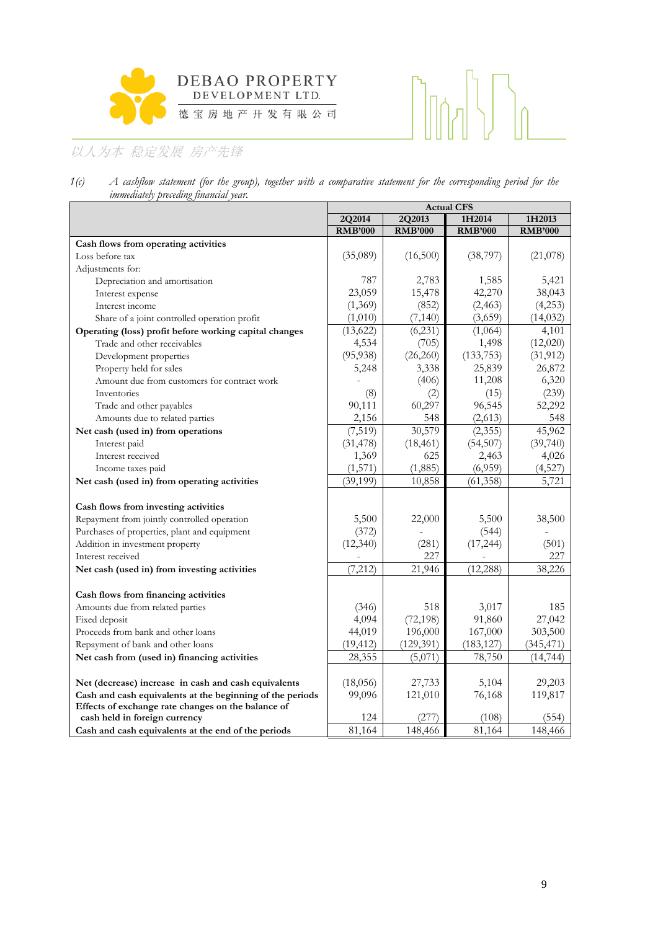

# 

# 以人为本 稳定发展 房产先锋

| 1(c) |                                       |  |  |  |  | A cashflow statement (for the group), together with a comparative statement for the corresponding period for the |  |  |
|------|---------------------------------------|--|--|--|--|------------------------------------------------------------------------------------------------------------------|--|--|
|      | immediately preceding financial year. |  |  |  |  |                                                                                                                  |  |  |

|                                                           |                |                | <b>Actual CFS</b> |                |
|-----------------------------------------------------------|----------------|----------------|-------------------|----------------|
|                                                           | 2Q2014         | 2Q2013         | 1H2014            | 1H2013         |
|                                                           | <b>RMB'000</b> | <b>RMB'000</b> | <b>RMB'000</b>    | <b>RMB'000</b> |
| Cash flows from operating activities                      |                |                |                   |                |
| Loss before tax                                           | (35,089)       | (16,500)       | (38, 797)         | (21,078)       |
| Adjustments for:                                          |                |                |                   |                |
| Depreciation and amortisation                             | 787            | 2,783          | 1,585             | 5,421          |
| Interest expense                                          | 23,059         | 15,478         | 42,270            | 38,043         |
| Interest income                                           | (1,369)        | (852)          | (2, 463)          | (4,253)        |
| Share of a joint controlled operation profit              | (1,010)        | (7, 140)       | (3,659)           | (14, 032)      |
| Operating (loss) profit before working capital changes    | (13, 622)      | (6, 231)       | (1,064)           | 4,101          |
| Trade and other receivables                               | 4,534          | (705)          | 1,498             | (12,020)       |
| Development properties                                    | (95, 938)      | (26, 260)      | (133, 753)        | (31, 912)      |
| Property held for sales                                   | 5,248          | 3,338          | 25,839            | 26,872         |
| Amount due from customers for contract work               |                | (406)          | 11,208            | 6,320          |
| Inventories                                               | (8)            | (2)            | (15)              | (239)          |
| Trade and other payables                                  | 90,111         | 60,297         | 96,545            | 52,292         |
| Amounts due to related parties                            | 2,156          | 548            | (2,613)           | 548            |
| Net cash (used in) from operations                        | (7, 519)       | 30,579         | (2,355)           | 45,962         |
| Interest paid                                             | (31, 478)      | (18, 461)      | (54, 507)         | (39,740)       |
| Interest received                                         | 1,369          | 625            | 2,463             | 4,026          |
| Income taxes paid                                         | (1,571)        | (1,885)        | (6,959)           | (4,527)        |
| Net cash (used in) from operating activities              | (39, 199)      | 10,858         | (61, 358)         | 5,721          |
|                                                           |                |                |                   |                |
| Cash flows from investing activities                      |                |                |                   |                |
| Repayment from jointly controlled operation               | 5,500          | 22,000         | 5,500             | 38,500         |
| Purchases of properties, plant and equipment              | (372)          |                | (544)             |                |
| Addition in investment property                           | (12, 340)      | (281)          | (17, 244)         | (501)          |
| Interest received                                         |                | 227            |                   | 227            |
| Net cash (used in) from investing activities              | (7, 212)       | 21,946         | (12, 288)         | 38,226         |
| Cash flows from financing activities                      |                |                |                   |                |
| Amounts due from related parties                          | (346)          | 518            | 3,017             | 185            |
| Fixed deposit                                             | 4,094          | (72, 198)      | 91,860            | 27,042         |
| Proceeds from bank and other loans                        | 44,019         | 196,000        | 167,000           | 303,500        |
| Repayment of bank and other loans                         | (19, 412)      | (129, 391)     | (183, 127)        | (345, 471)     |
| Net cash from (used in) financing activities              | 28,355         | (5,071)        | 78,750            | (14, 744)      |
|                                                           |                |                |                   |                |
| Net (decrease) increase in cash and cash equivalents      | (18,056)       | 27,733         | 5,104             | 29,203         |
| Cash and cash equivalents at the beginning of the periods | 99,096         | 121,010        | 76,168            | 119,817        |
| Effects of exchange rate changes on the balance of        |                |                |                   |                |
| cash held in foreign currency                             | 124            | (277)          | (108)             | (554)          |
| Cash and cash equivalents at the end of the periods       | 81,164         | 148,466        | 81,164            | 148,466        |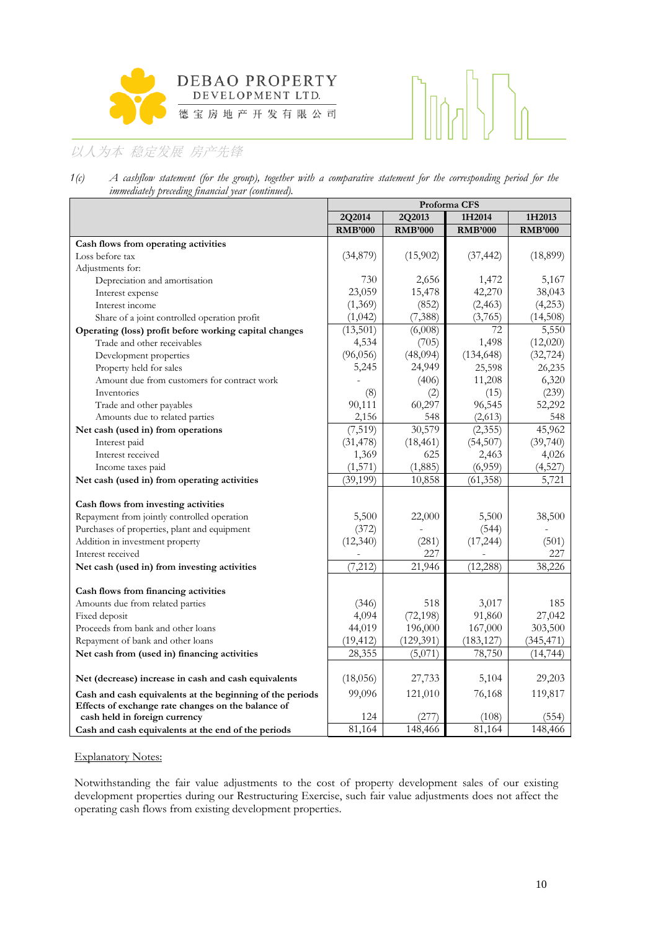



*1(c) A cashflow statement (for the group), together with a comparative statement for the corresponding period for the immediately preceding financial year (continued).*

|                                                                                     |                |                | Proforma CFS   |                |  |  |  |  |
|-------------------------------------------------------------------------------------|----------------|----------------|----------------|----------------|--|--|--|--|
|                                                                                     | 2Q2014         | 2Q2013         | 1H2014         | 1H2013         |  |  |  |  |
|                                                                                     | <b>RMB'000</b> | <b>RMB'000</b> | <b>RMB'000</b> | <b>RMB'000</b> |  |  |  |  |
| Cash flows from operating activities                                                |                |                |                |                |  |  |  |  |
| Loss before tax                                                                     | (34,879)       | (15,902)       | (37, 442)      | (18, 899)      |  |  |  |  |
| Adjustments for:                                                                    |                |                |                |                |  |  |  |  |
| Depreciation and amortisation                                                       | 730            | 2,656          | 1,472          | 5,167          |  |  |  |  |
| Interest expense                                                                    | 23,059         | 15,478         | 42,270         | 38,043         |  |  |  |  |
| Interest income                                                                     | (1,369)        | (852)          | (2, 463)       | (4,253)        |  |  |  |  |
| Share of a joint controlled operation profit                                        | (1,042)        | (7, 388)       | (3,765)        | (14,508)       |  |  |  |  |
| Operating (loss) profit before working capital changes                              | (13,501)       | (6,008)        | 72             | 5,550          |  |  |  |  |
| Trade and other receivables                                                         | 4,534          | (705)          | 1,498          | (12,020)       |  |  |  |  |
| Development properties                                                              | (96,056)       | (48,094)       | (134, 648)     | (32, 724)      |  |  |  |  |
| Property held for sales                                                             | 5,245          | 24,949         | 25,598         | 26,235         |  |  |  |  |
| Amount due from customers for contract work                                         |                | (406)          | 11,208         | 6,320          |  |  |  |  |
| Inventories                                                                         | (8)            | (2)            | (15)           | (239)          |  |  |  |  |
| Trade and other payables                                                            | 90,111         | 60,297         | 96,545         | 52,292         |  |  |  |  |
| Amounts due to related parties                                                      | 2,156          | 548            | (2,613)        | 548            |  |  |  |  |
| Net cash (used in) from operations                                                  | (7, 519)       | 30,579         | (2,355)        | 45,962         |  |  |  |  |
| Interest paid                                                                       | (31, 478)      | (18, 461)      | (54, 507)      | (39,740)       |  |  |  |  |
| Interest received                                                                   | 1,369          | 625            | 2,463          | 4,026          |  |  |  |  |
| Income taxes paid                                                                   | (1, 571)       | (1,885)        | (6,959)        | (4,527)        |  |  |  |  |
| Net cash (used in) from operating activities                                        | (39, 199)      | 10,858         | (61,358)       | 5,721          |  |  |  |  |
| Cash flows from investing activities                                                |                |                |                |                |  |  |  |  |
| Repayment from jointly controlled operation                                         | 5,500          | 22,000         | 5,500          | 38,500         |  |  |  |  |
| Purchases of properties, plant and equipment                                        | (372)          |                | (544)          |                |  |  |  |  |
| Addition in investment property                                                     | (12, 340)      | (281)          | (17, 244)      | (501)          |  |  |  |  |
| Interest received                                                                   |                | 227            |                | 227            |  |  |  |  |
| Net cash (used in) from investing activities                                        | (7, 212)       | 21,946         | (12, 288)      | 38,226         |  |  |  |  |
|                                                                                     |                |                |                |                |  |  |  |  |
| Cash flows from financing activities                                                |                |                |                |                |  |  |  |  |
| Amounts due from related parties                                                    | (346)          | 518            | 3,017          | 185            |  |  |  |  |
| Fixed deposit                                                                       | 4,094          | (72, 198)      | 91,860         | 27,042         |  |  |  |  |
| Proceeds from bank and other loans                                                  | 44,019         | 196,000        | 167,000        | 303,500        |  |  |  |  |
| Repayment of bank and other loans                                                   | (19, 412)      | (129, 391)     | (183, 127)     | (345, 471)     |  |  |  |  |
| Net cash from (used in) financing activities                                        | 28,355         | (5,071)        | 78,750         | (14, 744)      |  |  |  |  |
| Net (decrease) increase in cash and cash equivalents                                | (18,056)       | 27,733         | 5,104          | 29,203         |  |  |  |  |
| Cash and cash equivalents at the beginning of the periods                           | 99,096         | 121,010        | 76,168         | 119,817        |  |  |  |  |
| Effects of exchange rate changes on the balance of<br>cash held in foreign currency | 124            | (277)          | (108)          | (554)          |  |  |  |  |
| Cash and cash equivalents at the end of the periods                                 | 81,164         | 148,466        | 81,164         | 148,466        |  |  |  |  |

### Explanatory Notes:

Notwithstanding the fair value adjustments to the cost of property development sales of our existing development properties during our Restructuring Exercise, such fair value adjustments does not affect the operating cash flows from existing development properties.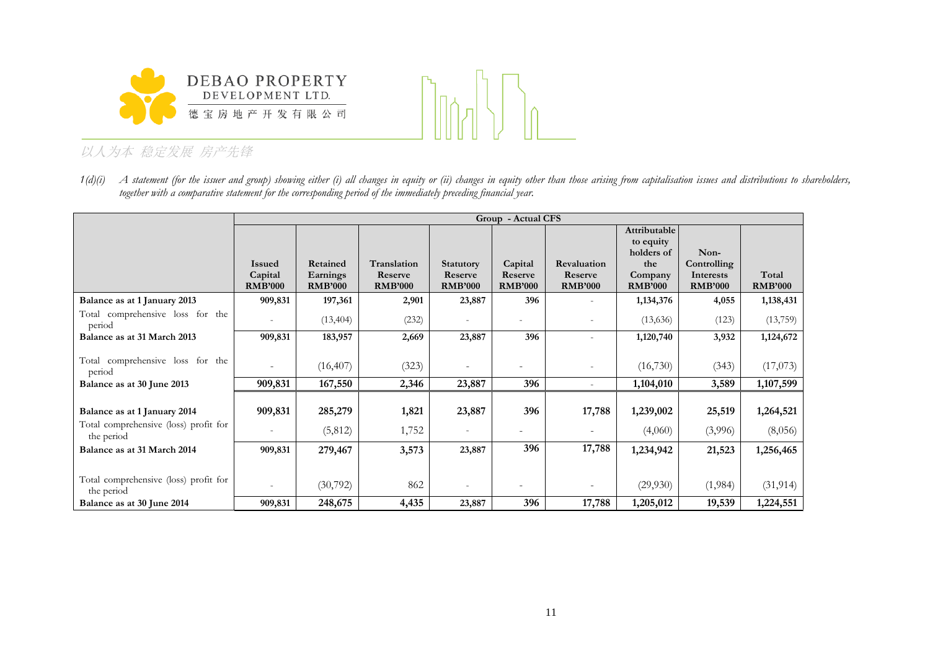



*1(d)(i) A statement (for the issuer and group) showing either (i) all changes in equity or (ii) changes in equity other than those arising from capitalisation issues and distributions to shareholders, together with a comparative statement for the corresponding period of the immediately preceding financial year.* 

|                                                                       |                                            |                                        |                                          |                                               | Group - Actual CFS                   |                                          |                                                |                                                    |                         |
|-----------------------------------------------------------------------|--------------------------------------------|----------------------------------------|------------------------------------------|-----------------------------------------------|--------------------------------------|------------------------------------------|------------------------------------------------|----------------------------------------------------|-------------------------|
|                                                                       |                                            |                                        |                                          |                                               |                                      |                                          | Attributable<br>to equity                      |                                                    |                         |
|                                                                       | <b>Issued</b><br>Capital<br><b>RMB'000</b> | Retained<br>Earnings<br><b>RMB'000</b> | Translation<br>Reserve<br><b>RMB'000</b> | <b>Statutory</b><br>Reserve<br><b>RMB'000</b> | Capital<br>Reserve<br><b>RMB'000</b> | Revaluation<br>Reserve<br><b>RMB'000</b> | holders of<br>the<br>Company<br><b>RMB'000</b> | Non-<br>Controlling<br>Interests<br><b>RMB'000</b> | Total<br><b>RMB'000</b> |
| Balance as at 1 January 2013                                          | 909,831                                    | 197,361                                | 2,901                                    | 23,887                                        | 396                                  |                                          | 1,134,376                                      | 4,055                                              | 1,138,431               |
| Total comprehensive loss for the<br>period                            | $\overline{\phantom{a}}$                   | (13, 404)                              | (232)                                    | $\overline{\phantom{a}}$                      |                                      |                                          | (13,636)                                       | (123)                                              | (13,759)                |
| Balance as at 31 March 2013                                           | 909,831                                    | 183,957                                | 2,669                                    | 23,887                                        | 396                                  |                                          | 1,120,740                                      | 3,932                                              | 1,124,672               |
| Total comprehensive loss for the<br>period                            | -                                          | (16, 407)                              | (323)                                    |                                               |                                      |                                          | (16,730)                                       | (343)                                              | (17,073)                |
| Balance as at 30 June 2013                                            | 909,831                                    | 167,550                                | 2,346                                    | 23,887                                        | 396                                  |                                          | 1,104,010                                      | 3,589                                              | 1,107,599               |
| Balance as at 1 January 2014<br>Total comprehensive (loss) profit for | 909,831<br>$\overline{a}$                  | 285,279<br>(5,812)                     | 1,821<br>1,752                           | 23,887<br>$\overline{\phantom{a}}$            | 396                                  | 17,788                                   | 1,239,002<br>(4,060)                           | 25,519<br>(3,996)                                  | 1,264,521<br>(8,056)    |
| the period<br>Balance as at 31 March 2014                             | 909,831                                    | 279,467                                | 3,573                                    | 23,887                                        | 396                                  | 17,788                                   | 1,234,942                                      | 21,523                                             | 1,256,465               |
| Total comprehensive (loss) profit for<br>the period                   |                                            | (30,792)                               | 862                                      |                                               | $\overline{\phantom{a}}$             |                                          | (29,930)                                       | (1,984)                                            | (31, 914)               |
| Balance as at 30 June 2014                                            | 909,831                                    | 248,675                                | 4,435                                    | 23,887                                        | 396                                  | 17,788                                   | 1,205,012                                      | 19,539                                             | 1,224,551               |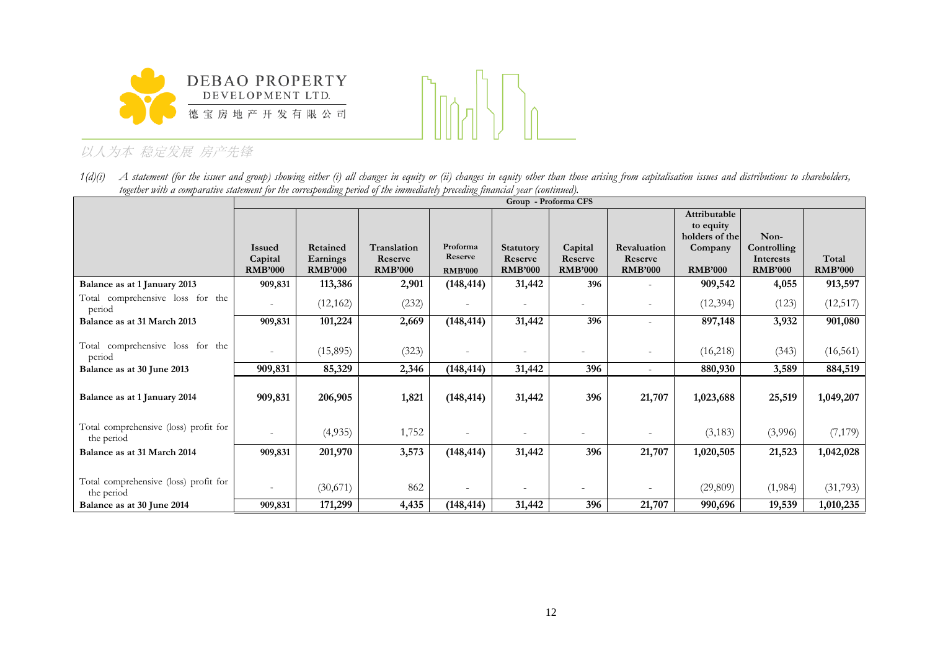



*1(d)(i) A statement (for the issuer and group) showing either (i) all changes in equity or (ii) changes in equity other than those arising from capitalisation issues and distributions to shareholders, together with a comparative statement for the corresponding period of the immediately preceding financial year (continued).* 

|                                                     |                           |                            |                           |                          |                             | Group - Proforma CFS     |                          |                |                          |                |
|-----------------------------------------------------|---------------------------|----------------------------|---------------------------|--------------------------|-----------------------------|--------------------------|--------------------------|----------------|--------------------------|----------------|
|                                                     |                           |                            |                           |                          |                             |                          |                          | Attributable   |                          |                |
|                                                     |                           |                            |                           |                          |                             |                          |                          | to equity      |                          |                |
|                                                     |                           |                            |                           | Proforma                 |                             |                          |                          | holders of the | Non-                     |                |
|                                                     | <b>Issued</b>             | Retained                   | Translation               | Reserve                  | <b>Statutory</b><br>Reserve | Capital<br>Reserve       | Revaluation<br>Reserve   | Company        | Controlling<br>Interests | Total          |
|                                                     | Capital<br><b>RMB'000</b> | Earnings<br><b>RMB'000</b> | Reserve<br><b>RMB'000</b> | <b>RMB'000</b>           | <b>RMB'000</b>              | <b>RMB'000</b>           | <b>RMB'000</b>           | <b>RMB'000</b> | <b>RMB'000</b>           | <b>RMB'000</b> |
| Balance as at 1 January 2013                        | 909,831                   | 113,386                    | 2,901                     | (148, 414)               | 31,442                      | 396                      |                          | 909,542        | 4,055                    | 913,597        |
| Total comprehensive loss for the<br>period          | $\overline{\phantom{a}}$  | (12, 162)                  | (232)                     |                          | $\overline{\phantom{a}}$    | $\overline{\phantom{a}}$ | $\overline{\phantom{a}}$ | (12, 394)      | (123)                    | (12, 517)      |
| Balance as at 31 March 2013                         | 909,831                   | 101,224                    | 2,669                     | (148, 414)               | 31,442                      | 396                      |                          | 897,148        | 3,932                    | 901,080        |
|                                                     |                           |                            |                           |                          |                             |                          |                          |                |                          |                |
| Total comprehensive loss for the<br>period          | $\sim$                    | (15,895)                   | (323)                     | $\overline{\phantom{a}}$ | $\overline{\phantom{a}}$    | $\overline{\phantom{a}}$ |                          | (16,218)       | (343)                    | (16, 561)      |
| Balance as at 30 June 2013                          | 909,831                   | 85,329                     | 2,346                     | (148, 414)               | 31,442                      | 396                      |                          | 880,930        | 3,589                    | 884,519        |
|                                                     |                           |                            |                           |                          |                             |                          |                          |                |                          |                |
| Balance as at 1 January 2014                        | 909,831                   | 206,905                    | 1,821                     | (148, 414)               | 31,442                      | 396                      | 21,707                   | 1,023,688      | 25,519                   | 1,049,207      |
|                                                     |                           |                            |                           |                          |                             |                          |                          |                |                          |                |
| Total comprehensive (loss) profit for               | $\overline{\phantom{a}}$  | (4,935)                    | 1,752                     |                          | $\overline{\phantom{a}}$    |                          |                          | (3,183)        | (3,996)                  | (7,179)        |
| the period                                          |                           |                            |                           |                          |                             |                          |                          |                |                          |                |
| Balance as at 31 March 2014                         | 909,831                   | 201,970                    | 3,573                     | (148, 414)               | 31,442                      | 396                      | 21,707                   | 1,020,505      | 21,523                   | 1,042,028      |
|                                                     |                           |                            |                           |                          |                             |                          |                          |                |                          |                |
| Total comprehensive (loss) profit for<br>the period |                           | (30,671)                   | 862                       | ٠                        |                             |                          |                          | (29, 809)      | (1,984)                  | (31,793)       |
| Balance as at 30 June 2014                          | 909,831                   | 171,299                    | 4,435                     | (148, 414)               | 31,442                      | 396                      | 21,707                   | 990,696        | 19,539                   | 1,010,235      |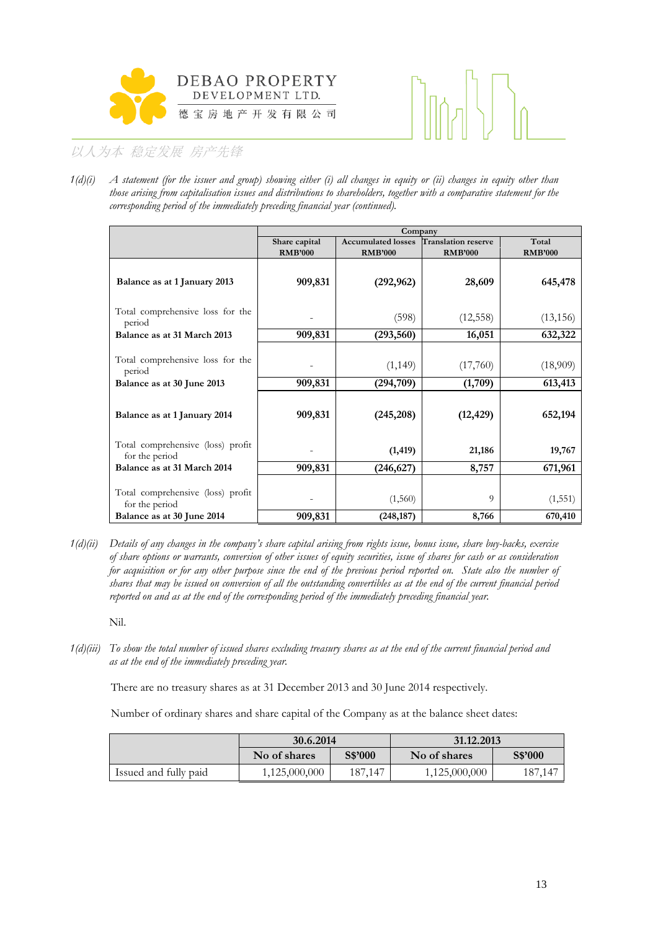



*1(d)(i) A statement (for the issuer and group) showing either (i) all changes in equity or (ii) changes in equity other than those arising from capitalisation issues and distributions to shareholders, together with a comparative statement for the corresponding period of the immediately preceding financial year (continued).* 

|                                                                                                          |                                 | Company                                     |                                              |                                |
|----------------------------------------------------------------------------------------------------------|---------------------------------|---------------------------------------------|----------------------------------------------|--------------------------------|
|                                                                                                          | Share capital<br><b>RMB'000</b> | <b>Accumulated losses</b><br><b>RMB'000</b> | <b>Translation reserve</b><br><b>RMB'000</b> | Total<br><b>RMB'000</b>        |
| Balance as at 1 January 2013                                                                             | 909,831                         | (292, 962)                                  | 28,609                                       | 645,478                        |
| Total comprehensive loss for the<br>period                                                               |                                 | (598)                                       | (12, 558)                                    | (13, 156)                      |
| Balance as at 31 March 2013                                                                              | 909,831                         | (293, 560)                                  | 16,051                                       | 632,322                        |
| Total comprehensive loss for the<br>period<br>Balance as at 30 June 2013<br>Balance as at 1 January 2014 | 909,831<br>909,831              | (1, 149)<br>(294, 709)<br>(245, 208)        | (17,760)<br>(1,709)<br>(12, 429)             | (18,909)<br>613,413<br>652,194 |
| Total comprehensive (loss) profit<br>for the period                                                      |                                 | (1, 419)                                    | 21,186                                       | 19,767                         |
| Balance as at 31 March 2014                                                                              | 909,831                         | (246,627)                                   | 8,757                                        | 671,961                        |
| Total comprehensive (loss) profit<br>for the period                                                      |                                 | (1,560)                                     | 9                                            | (1, 551)                       |
| Balance as at 30 June 2014                                                                               | 909,831                         | (248, 187)                                  | 8,766                                        | 670,410                        |

*1(d)(ii) Details of any changes in the company's share capital arising from rights issue, bonus issue, share buy-backs, exercise of share options or warrants, conversion of other issues of equity securities, issue of shares for cash or as consideration*  for acquisition or for any other purpose since the end of the previous period reported on. State also the number of *shares that may be issued on conversion of all the outstanding convertibles as at the end of the current financial period reported on and as at the end of the corresponding period of the immediately preceding financial year.* 

Nil.

*1(d)(iii) To show the total number of issued shares excluding treasury shares as at the end of the current financial period and as at the end of the immediately preceding year.*

There are no treasury shares as at 31 December 2013 and 30 June 2014 respectively.

Number of ordinary shares and share capital of the Company as at the balance sheet dates:

|                       | 30.6.2014     |         | 31.12.2013    |         |  |
|-----------------------|---------------|---------|---------------|---------|--|
|                       | No of shares  | S\$'000 | No of shares  | S\$'000 |  |
| Issued and fully paid | 1,125,000,000 | 187.147 | 1,125,000,000 | 187,147 |  |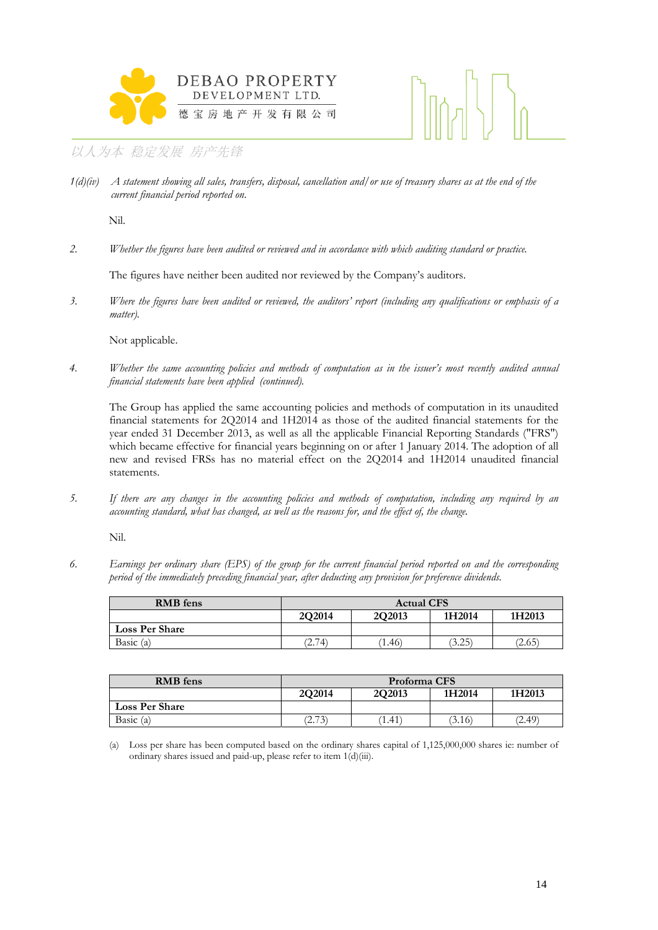



*1(d)(iv) A statement showing all sales, transfers, disposal, cancellation and/or use of treasury shares as at the end of the current financial period reported on*.

Nil.

*2. Whether the figures have been audited or reviewed and in accordance with which auditing standard or practice.* 

The figures have neither been audited nor reviewed by the Company's auditors.

*3. Where the figures have been audited or reviewed, the auditors' report (including any qualifications or emphasis of a matter).* 

Not applicable.

*4. Whether the same accounting policies and methods of computation as in the issuer's most recently audited annual financial statements have been applied (continued).* 

The Group has applied the same accounting policies and methods of computation in its unaudited financial statements for 2Q2014 and 1H2014 as those of the audited financial statements for the year ended 31 December 2013, as well as all the applicable Financial Reporting Standards ("FRS") which became effective for financial years beginning on or after 1 January 2014. The adoption of all new and revised FRSs has no material effect on the 2Q2014 and 1H2014 unaudited financial statements.

*5. If there are any changes in the accounting policies and methods of computation, including any required by an accounting standard, what has changed, as well as the reasons for, and the effect of, the change.* 

Nil.

*6. Earnings per ordinary share (EPS) of the group for the current financial period reported on and the corresponding period of the immediately preceding financial year, after deducting any provision for preference dividends.* 

| <b>RMB</b> fens       | <b>Actual CFS</b>                    |      |        |      |  |
|-----------------------|--------------------------------------|------|--------|------|--|
|                       | 2Q2014<br>2O2013<br>1H2014<br>1H2013 |      |        |      |  |
| <b>Loss Per Share</b> |                                      |      |        |      |  |
| Basic (a)             | (2.74)                               | 1.46 | (3.25) | 2.65 |  |

| <b>RMB</b> fens       | Proforma CFS |                     |        |                |  |
|-----------------------|--------------|---------------------|--------|----------------|--|
|                       | 2Q2014       | 2O <sub>2</sub> 013 | 1H2014 | 1H2013         |  |
| <b>Loss Per Share</b> |              |                     |        |                |  |
| Basic (a)             | (2.73)       | (1.41)              | (3.16) | $2.49^{\circ}$ |  |

(a) Loss per share has been computed based on the ordinary shares capital of 1,125,000,000 shares ie: number of ordinary shares issued and paid-up, please refer to item 1(d)(iii).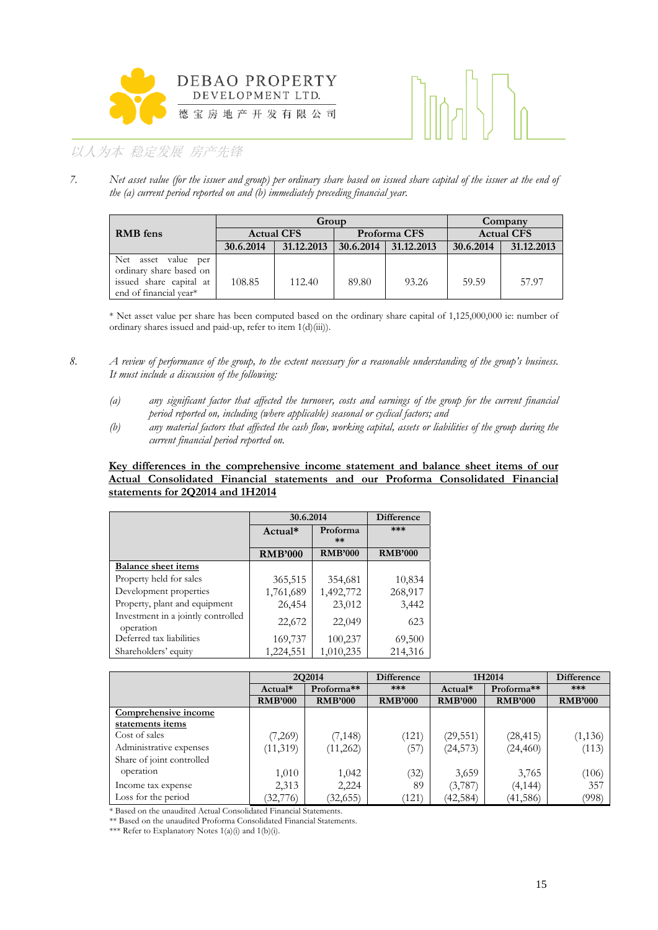



*7. Net asset value (for the issuer and group) per ordinary share based on issued share capital of the issuer at the end of the (a) current period reported on and (b) immediately preceding financial year.* 

|                         |                   | Group      |           |              |                   | Company    |  |
|-------------------------|-------------------|------------|-----------|--------------|-------------------|------------|--|
| <b>RMB</b> fens         | <b>Actual CFS</b> |            |           | Proforma CFS | <b>Actual CFS</b> |            |  |
|                         | 30.6.2014         | 31.12.2013 | 30.6.2014 | 31.12.2013   | 30.6.2014         | 31.12.2013 |  |
| Net<br>asset value per  |                   |            |           |              |                   |            |  |
| ordinary share based on |                   |            |           |              |                   |            |  |
| issued share capital at | 108.85            | 112.40     | 89.80     | 93.26        | 59.59             | 57.97      |  |
| end of financial year*  |                   |            |           |              |                   |            |  |

\* Net asset value per share has been computed based on the ordinary share capital of 1,125,000,000 ie: number of ordinary shares issued and paid-up, refer to item 1(d)(iii)).

- *8. A review of performance of the group, to the extent necessary for a reasonable understanding of the group's business. It must include a discussion of the following:* 
	- *(a) any significant factor that affected the turnover, costs and earnings of the group for the current financial period reported on, including (where applicable) seasonal or cyclical factors; and*
	- *(b) any material factors that affected the cash flow, working capital, assets or liabilities of the group during the current financial period reported on.*

### **Key differences in the comprehensive income statement and balance sheet items of our Actual Consolidated Financial statements and our Proforma Consolidated Financial statements for 2Q2014 and 1H2014**

|                                                 |                | 30.6.2014         |                |  |
|-------------------------------------------------|----------------|-------------------|----------------|--|
|                                                 | Actual*        | Proforma<br>$***$ | ***            |  |
|                                                 | <b>RMB'000</b> | <b>RMB'000</b>    | <b>RMB'000</b> |  |
| <b>Balance sheet items</b>                      |                |                   |                |  |
| Property held for sales                         | 365,515        | 354,681           | 10,834         |  |
| Development properties                          | 1,761,689      | 1,492,772         | 268,917        |  |
| Property, plant and equipment                   | 26,454         | 23,012            | 3,442          |  |
| Investment in a jointly controlled<br>operation | 22,672         | 22,049            | 623            |  |
| Deferred tax liabilities                        | 169,737        | 100,237           | 69,500         |  |
| Shareholders' equity                            | 1,224,551      | 1,010,235         | 214,316        |  |

|                           | 2Q2014         |                | <b>Difference</b> | 1H2014         |                | <b>Difference</b> |
|---------------------------|----------------|----------------|-------------------|----------------|----------------|-------------------|
|                           | Actual*        | Proforma**     | ***               | Actual*        | Proforma**     | ***               |
|                           | <b>RMB'000</b> | <b>RMB'000</b> | <b>RMB'000</b>    | <b>RMB'000</b> | <b>RMB'000</b> | <b>RMB'000</b>    |
| Comprehensive income      |                |                |                   |                |                |                   |
| statements items          |                |                |                   |                |                |                   |
| Cost of sales             | (7,269)        | (7, 148)       | (121)             | (29, 551)      | (28, 415)      | (1, 136)          |
| Administrative expenses   | (11,319)       | (11,262)       | (57)              | (24, 573)      | (24, 460)      | (113)             |
| Share of joint controlled |                |                |                   |                |                |                   |
| operation                 | 1,010          | 1,042          | (32)              | 3,659          | 3,765          | (106)             |
| Income tax expense        | 2,313          | 2,224          | 89                | (3,787)        | (4, 144)       | 357               |
| Loss for the period       | (32,776)       | (32, 655)      | (121)             | (42, 584)      | (41, 586)      | (998)             |

\* Based on the unaudited Actual Consolidated Financial Statements.

\*\* Based on the unaudited Proforma Consolidated Financial Statements.

\*\*\* Refer to Explanatory Notes  $1(a)(i)$  and  $1(b)(i)$ .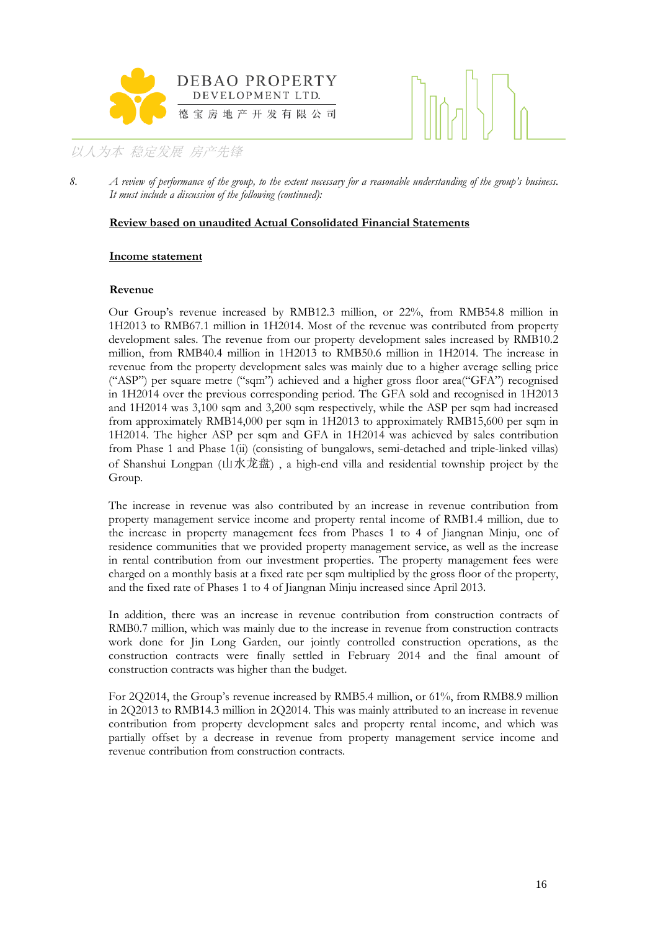



*8. A review of performance of the group, to the extent necessary for a reasonable understanding of the group's business. It must include a discussion of the following (continued):* 

### **Review based on unaudited Actual Consolidated Financial Statements**

### **Income statement**

### **Revenue**

Our Group's revenue increased by RMB12.3 million, or 22%, from RMB54.8 million in 1H2013 to RMB67.1 million in 1H2014. Most of the revenue was contributed from property development sales. The revenue from our property development sales increased by RMB10.2 million, from RMB40.4 million in 1H2013 to RMB50.6 million in 1H2014. The increase in revenue from the property development sales was mainly due to a higher average selling price ("ASP") per square metre ("sqm") achieved and a higher gross floor area("GFA") recognised in 1H2014 over the previous corresponding period. The GFA sold and recognised in 1H2013 and 1H2014 was 3,100 sqm and 3,200 sqm respectively, while the ASP per sqm had increased from approximately RMB14,000 per sqm in 1H2013 to approximately RMB15,600 per sqm in 1H2014. The higher ASP per sqm and GFA in 1H2014 was achieved by sales contribution from Phase 1 and Phase 1(ii) (consisting of bungalows, semi-detached and triple-linked villas) of Shanshui Longpan (山水龙盘), a high-end villa and residential township project by the Group.

The increase in revenue was also contributed by an increase in revenue contribution from property management service income and property rental income of RMB1.4 million, due to the increase in property management fees from Phases 1 to 4 of Jiangnan Minju, one of residence communities that we provided property management service, as well as the increase in rental contribution from our investment properties. The property management fees were charged on a monthly basis at a fixed rate per sqm multiplied by the gross floor of the property, and the fixed rate of Phases 1 to 4 of Jiangnan Minju increased since April 2013.

In addition, there was an increase in revenue contribution from construction contracts of RMB0.7 million, which was mainly due to the increase in revenue from construction contracts work done for Jin Long Garden, our jointly controlled construction operations, as the construction contracts were finally settled in February 2014 and the final amount of construction contracts was higher than the budget.

For 2Q2014, the Group's revenue increased by RMB5.4 million, or 61%, from RMB8.9 million in 2Q2013 to RMB14.3 million in 2Q2014. This was mainly attributed to an increase in revenue contribution from property development sales and property rental income, and which was partially offset by a decrease in revenue from property management service income and revenue contribution from construction contracts.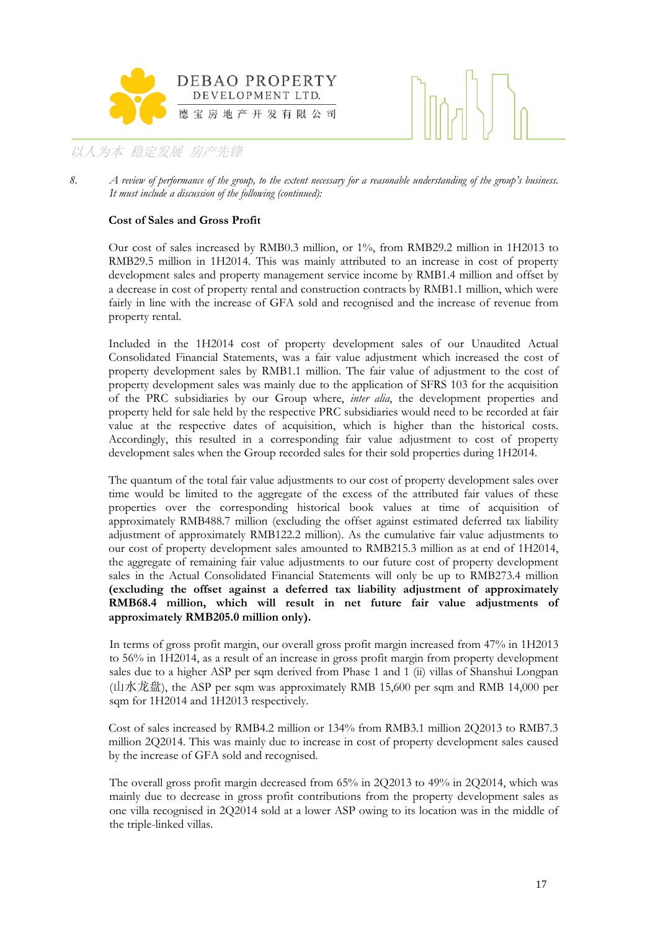



### **Cost of Sales and Gross Profit**

Our cost of sales increased by RMB0.3 million, or 1%, from RMB29.2 million in 1H2013 to RMB29.5 million in 1H2014. This was mainly attributed to an increase in cost of property development sales and property management service income by RMB1.4 million and offset by a decrease in cost of property rental and construction contracts by RMB1.1 million, which were fairly in line with the increase of GFA sold and recognised and the increase of revenue from property rental.

Included in the 1H2014 cost of property development sales of our Unaudited Actual Consolidated Financial Statements, was a fair value adjustment which increased the cost of property development sales by RMB1.1 million. The fair value of adjustment to the cost of property development sales was mainly due to the application of SFRS 103 for the acquisition of the PRC subsidiaries by our Group where, *inter alia*, the development properties and property held for sale held by the respective PRC subsidiaries would need to be recorded at fair value at the respective dates of acquisition, which is higher than the historical costs. Accordingly, this resulted in a corresponding fair value adjustment to cost of property development sales when the Group recorded sales for their sold properties during 1H2014.

The quantum of the total fair value adjustments to our cost of property development sales over time would be limited to the aggregate of the excess of the attributed fair values of these properties over the corresponding historical book values at time of acquisition of approximately RMB488.7 million (excluding the offset against estimated deferred tax liability adjustment of approximately RMB122.2 million). As the cumulative fair value adjustments to our cost of property development sales amounted to RMB215.3 million as at end of 1H2014, the aggregate of remaining fair value adjustments to our future cost of property development sales in the Actual Consolidated Financial Statements will only be up to RMB273.4 million **(excluding the offset against a deferred tax liability adjustment of approximately RMB68.4 million, which will result in net future fair value adjustments of approximately RMB205.0 million only).**

In terms of gross profit margin, our overall gross profit margin increased from 47% in 1H2013 to 56% in 1H2014, as a result of an increase in gross profit margin from property development sales due to a higher ASP per sqm derived from Phase 1 and 1 (ii) villas of Shanshui Longpan (山水龙盘), the ASP per sqm was approximately RMB 15,600 per sqm and RMB 14,000 per sqm for 1H2014 and 1H2013 respectively.

Cost of sales increased by RMB4.2 million or 134% from RMB3.1 million 2Q2013 to RMB7.3 million 2Q2014. This was mainly due to increase in cost of property development sales caused by the increase of GFA sold and recognised.

The overall gross profit margin decreased from 65% in 2Q2013 to 49% in 2Q2014, which was mainly due to decrease in gross profit contributions from the property development sales as one villa recognised in 2Q2014 sold at a lower ASP owing to its location was in the middle of the triple-linked villas.

*<sup>8.</sup> A review of performance of the group, to the extent necessary for a reasonable understanding of the group's business. It must include a discussion of the following (continued):*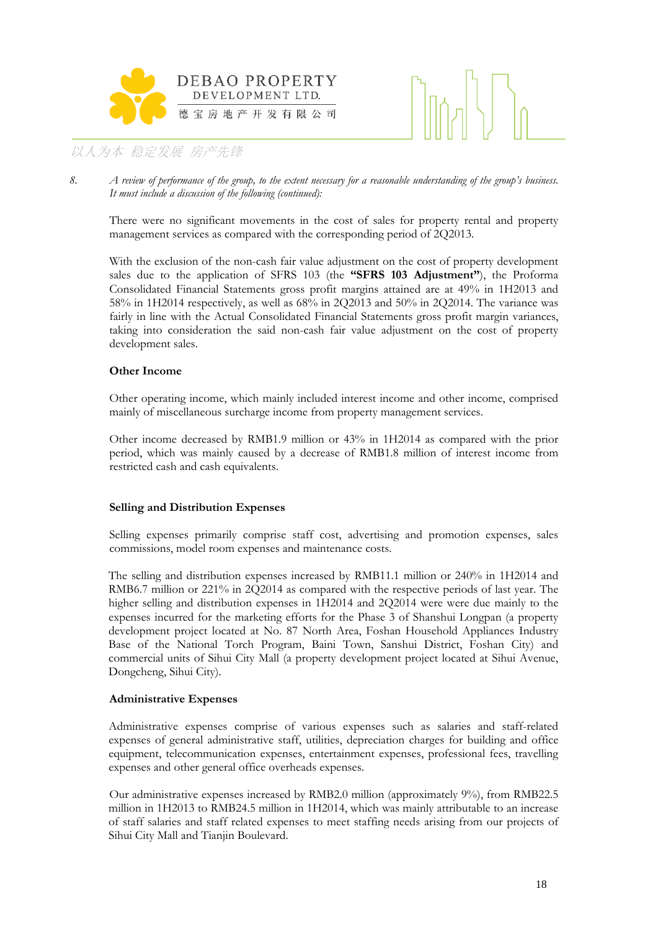



*8. A review of performance of the group, to the extent necessary for a reasonable understanding of the group's business. It must include a discussion of the following (continued):* 

There were no significant movements in the cost of sales for property rental and property management services as compared with the corresponding period of 2Q2013.

With the exclusion of the non-cash fair value adjustment on the cost of property development sales due to the application of SFRS 103 (the **"SFRS 103 Adjustment"**), the Proforma Consolidated Financial Statements gross profit margins attained are at 49% in 1H2013 and 58% in 1H2014 respectively, as well as 68% in 2Q2013 and 50% in 2Q2014. The variance was fairly in line with the Actual Consolidated Financial Statements gross profit margin variances, taking into consideration the said non-cash fair value adjustment on the cost of property development sales.

### **Other Income**

Other operating income, which mainly included interest income and other income, comprised mainly of miscellaneous surcharge income from property management services.

Other income decreased by RMB1.9 million or 43% in 1H2014 as compared with the prior period, which was mainly caused by a decrease of RMB1.8 million of interest income from restricted cash and cash equivalents.

### **Selling and Distribution Expenses**

Selling expenses primarily comprise staff cost, advertising and promotion expenses, sales commissions, model room expenses and maintenance costs.

The selling and distribution expenses increased by RMB11.1 million or 240% in 1H2014 and RMB6.7 million or 221% in 2Q2014 as compared with the respective periods of last year. The higher selling and distribution expenses in 1H2014 and 2Q2014 were were due mainly to the expenses incurred for the marketing efforts for the Phase 3 of Shanshui Longpan (a property development project located at No. 87 North Area, Foshan Household Appliances Industry Base of the National Torch Program, Baini Town, Sanshui District, Foshan City) and commercial units of Sihui City Mall (a property development project located at Sihui Avenue, Dongcheng, Sihui City).

### **Administrative Expenses**

 Administrative expenses comprise of various expenses such as salaries and staff-related expenses of general administrative staff, utilities, depreciation charges for building and office equipment, telecommunication expenses, entertainment expenses, professional fees, travelling expenses and other general office overheads expenses.

 Our administrative expenses increased by RMB2.0 million (approximately 9%), from RMB22.5 million in 1H2013 to RMB24.5 million in 1H2014, which was mainly attributable to an increase of staff salaries and staff related expenses to meet staffing needs arising from our projects of Sihui City Mall and Tianjin Boulevard.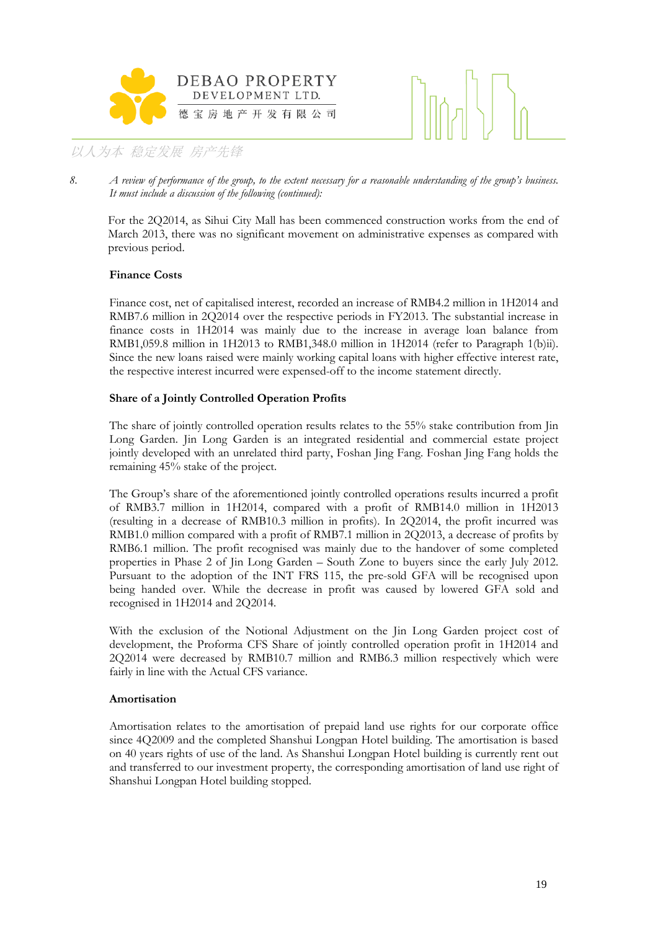



*8. A review of performance of the group, to the extent necessary for a reasonable understanding of the group's business. It must include a discussion of the following (continued):* 

For the 2Q2014, as Sihui City Mall has been commenced construction works from the end of March 2013, there was no significant movement on administrative expenses as compared with previous period.

### **Finance Costs**

Finance cost, net of capitalised interest, recorded an increase of RMB4.2 million in 1H2014 and RMB7.6 million in 2Q2014 over the respective periods in FY2013. The substantial increase in finance costs in 1H2014 was mainly due to the increase in average loan balance from RMB1,059.8 million in 1H2013 to RMB1,348.0 million in 1H2014 (refer to Paragraph 1(b)ii). Since the new loans raised were mainly working capital loans with higher effective interest rate, the respective interest incurred were expensed-off to the income statement directly.

### **Share of a Jointly Controlled Operation Profits**

The share of jointly controlled operation results relates to the 55% stake contribution from Jin Long Garden. Jin Long Garden is an integrated residential and commercial estate project jointly developed with an unrelated third party, Foshan Jing Fang. Foshan Jing Fang holds the remaining 45% stake of the project.

The Group's share of the aforementioned jointly controlled operations results incurred a profit of RMB3.7 million in 1H2014, compared with a profit of RMB14.0 million in 1H2013 (resulting in a decrease of RMB10.3 million in profits). In 2Q2014, the profit incurred was RMB1.0 million compared with a profit of RMB7.1 million in 2Q2013, a decrease of profits by RMB6.1 million. The profit recognised was mainly due to the handover of some completed properties in Phase 2 of Jin Long Garden – South Zone to buyers since the early July 2012. Pursuant to the adoption of the INT FRS 115, the pre-sold GFA will be recognised upon being handed over. While the decrease in profit was caused by lowered GFA sold and recognised in 1H2014 and 2Q2014.

With the exclusion of the Notional Adjustment on the Jin Long Garden project cost of development, the Proforma CFS Share of jointly controlled operation profit in 1H2014 and 2Q2014 were decreased by RMB10.7 million and RMB6.3 million respectively which were fairly in line with the Actual CFS variance.

### **Amortisation**

Amortisation relates to the amortisation of prepaid land use rights for our corporate office since 4Q2009 and the completed Shanshui Longpan Hotel building. The amortisation is based on 40 years rights of use of the land. As Shanshui Longpan Hotel building is currently rent out and transferred to our investment property, the corresponding amortisation of land use right of Shanshui Longpan Hotel building stopped.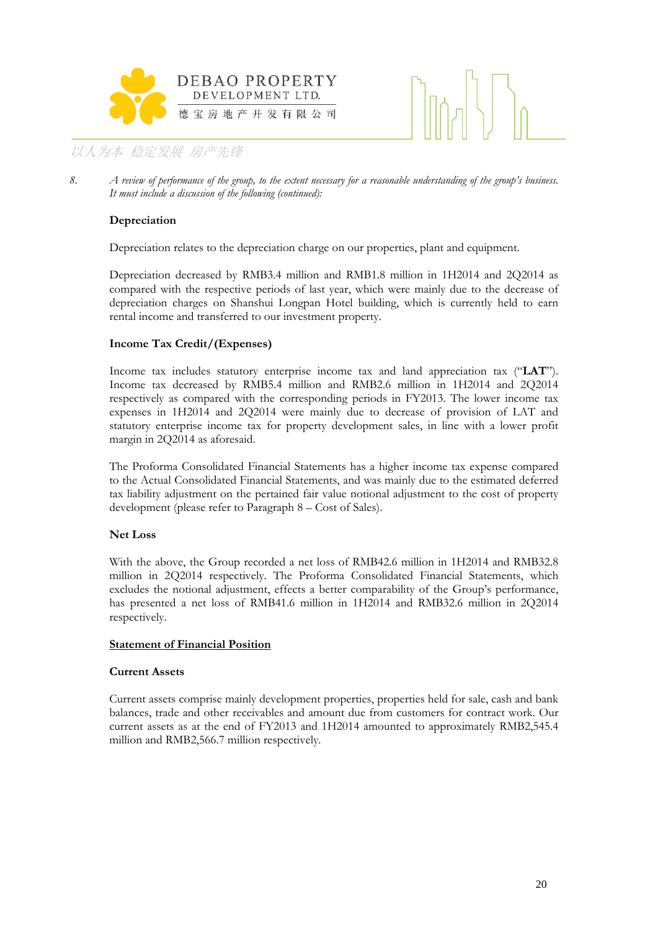



*8. A review of performance of the group, to the extent necessary for a reasonable understanding of the group's business. It must include a discussion of the following (continued):* 

### **Depreciation**

Depreciation relates to the depreciation charge on our properties, plant and equipment.

Depreciation decreased by RMB3.4 million and RMB1.8 million in 1H2014 and 2Q2014 as compared with the respective periods of last year, which were mainly due to the decrease of depreciation charges on Shanshui Longpan Hotel building, which is currently held to earn rental income and transferred to our investment property.

### **Income Tax Credit/(Expenses)**

Income tax includes statutory enterprise income tax and land appreciation tax ("**LAT**"). Income tax decreased by RMB5.4 million and RMB2.6 million in 1H2014 and 2Q2014 respectively as compared with the corresponding periods in FY2013. The lower income tax expenses in 1H2014 and 2Q2014 were mainly due to decrease of provision of LAT and statutory enterprise income tax for property development sales, in line with a lower profit margin in 2Q2014 as aforesaid.

The Proforma Consolidated Financial Statements has a higher income tax expense compared to the Actual Consolidated Financial Statements, and was mainly due to the estimated deferred tax liability adjustment on the pertained fair value notional adjustment to the cost of property development (please refer to Paragraph 8 – Cost of Sales).

### **Net Loss**

With the above, the Group recorded a net loss of RMB42.6 million in 1H2014 and RMB32.8 million in 2Q2014 respectively. The Proforma Consolidated Financial Statements, which excludes the notional adjustment, effects a better comparability of the Group's performance, has presented a net loss of RMB41.6 million in 1H2014 and RMB32.6 million in 2Q2014 respectively.

### **Statement of Financial Position**

### **Current Assets**

Current assets comprise mainly development properties, properties held for sale, cash and bank balances, trade and other receivables and amount due from customers for contract work. Our current assets as at the end of FY2013 and 1H2014 amounted to approximately RMB2,545.4 million and RMB2,566.7 million respectively.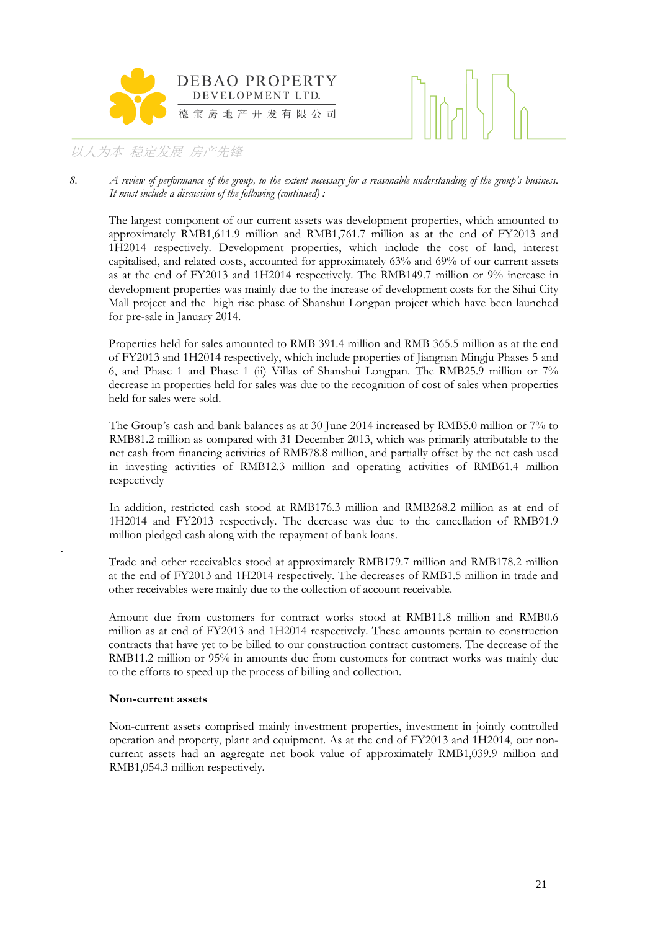



*8. A review of performance of the group, to the extent necessary for a reasonable understanding of the group's business. It must include a discussion of the following (continued) :* 

The largest component of our current assets was development properties, which amounted to approximately RMB1,611.9 million and RMB1,761.7 million as at the end of FY2013 and 1H2014 respectively. Development properties, which include the cost of land, interest capitalised, and related costs, accounted for approximately 63% and 69% of our current assets as at the end of FY2013 and 1H2014 respectively. The RMB149.7 million or 9% increase in development properties was mainly due to the increase of development costs for the Sihui City Mall project and the high rise phase of Shanshui Longpan project which have been launched for pre-sale in January 2014.

Properties held for sales amounted to RMB 391.4 million and RMB 365.5 million as at the end of FY2013 and 1H2014 respectively, which include properties of Jiangnan Mingju Phases 5 and 6, and Phase 1 and Phase 1 (ii) Villas of Shanshui Longpan. The RMB25.9 million or 7% decrease in properties held for sales was due to the recognition of cost of sales when properties held for sales were sold.

 The Group's cash and bank balances as at 30 June 2014 increased by RMB5.0 million or 7% to RMB81.2 million as compared with 31 December 2013, which was primarily attributable to the net cash from financing activities of RMB78.8 million, and partially offset by the net cash used in investing activities of RMB12.3 million and operating activities of RMB61.4 million respectively

 In addition, restricted cash stood at RMB176.3 million and RMB268.2 million as at end of 1H2014 and FY2013 respectively. The decrease was due to the cancellation of RMB91.9 million pledged cash along with the repayment of bank loans.

Trade and other receivables stood at approximately RMB179.7 million and RMB178.2 million at the end of FY2013 and 1H2014 respectively. The decreases of RMB1.5 million in trade and other receivables were mainly due to the collection of account receivable.

Amount due from customers for contract works stood at RMB11.8 million and RMB0.6 million as at end of FY2013 and 1H2014 respectively. These amounts pertain to construction contracts that have yet to be billed to our construction contract customers. The decrease of the RMB11.2 million or 95% in amounts due from customers for contract works was mainly due to the efforts to speed up the process of billing and collection.

### **Non-current assets**

.

Non-current assets comprised mainly investment properties, investment in jointly controlled operation and property, plant and equipment. As at the end of FY2013 and 1H2014, our noncurrent assets had an aggregate net book value of approximately RMB1,039.9 million and RMB1,054.3 million respectively.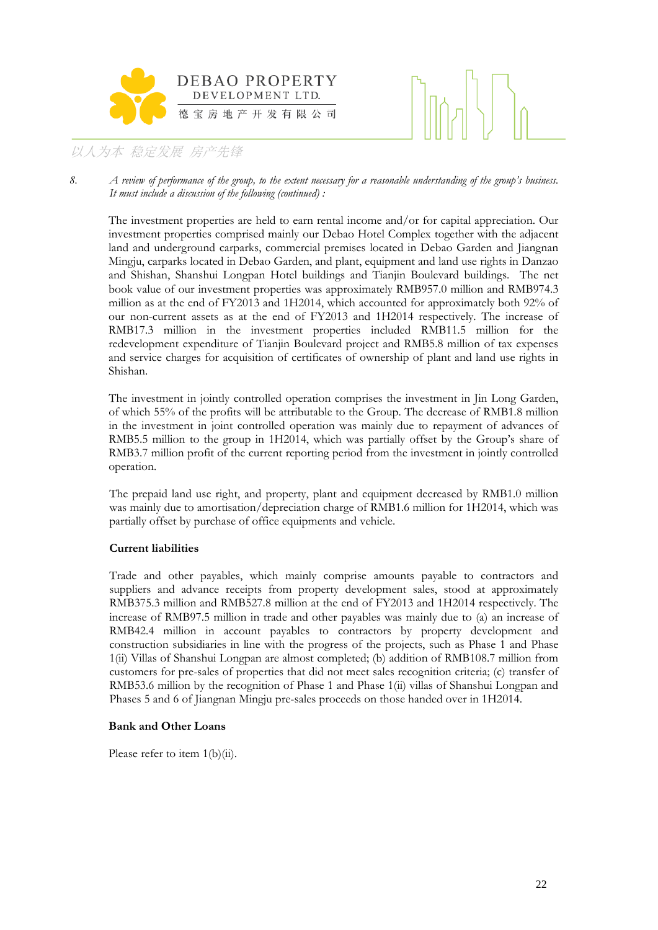



*8. A review of performance of the group, to the extent necessary for a reasonable understanding of the group's business. It must include a discussion of the following (continued) :* 

The investment properties are held to earn rental income and/or for capital appreciation. Our investment properties comprised mainly our Debao Hotel Complex together with the adjacent land and underground carparks, commercial premises located in Debao Garden and Jiangnan Mingju, carparks located in Debao Garden, and plant, equipment and land use rights in Danzao and Shishan, Shanshui Longpan Hotel buildings and Tianjin Boulevard buildings. The net book value of our investment properties was approximately RMB957.0 million and RMB974.3 million as at the end of FY2013 and 1H2014, which accounted for approximately both 92% of our non-current assets as at the end of FY2013 and 1H2014 respectively. The increase of RMB17.3 million in the investment properties included RMB11.5 million for the redevelopment expenditure of Tianjin Boulevard project and RMB5.8 million of tax expenses and service charges for acquisition of certificates of ownership of plant and land use rights in Shishan.

The investment in jointly controlled operation comprises the investment in Jin Long Garden, of which 55% of the profits will be attributable to the Group. The decrease of RMB1.8 million in the investment in joint controlled operation was mainly due to repayment of advances of RMB5.5 million to the group in 1H2014, which was partially offset by the Group's share of RMB3.7 million profit of the current reporting period from the investment in jointly controlled operation.

The prepaid land use right, and property, plant and equipment decreased by RMB1.0 million was mainly due to amortisation/depreciation charge of RMB1.6 million for 1H2014, which was partially offset by purchase of office equipments and vehicle.

### **Current liabilities**

Trade and other payables, which mainly comprise amounts payable to contractors and suppliers and advance receipts from property development sales, stood at approximately RMB375.3 million and RMB527.8 million at the end of FY2013 and 1H2014 respectively. The increase of RMB97.5 million in trade and other payables was mainly due to (a) an increase of RMB42.4 million in account payables to contractors by property development and construction subsidiaries in line with the progress of the projects, such as Phase 1 and Phase 1(ii) Villas of Shanshui Longpan are almost completed; (b) addition of RMB108.7 million from customers for pre-sales of properties that did not meet sales recognition criteria; (c) transfer of RMB53.6 million by the recognition of Phase 1 and Phase 1(ii) villas of Shanshui Longpan and Phases 5 and 6 of Jiangnan Mingju pre-sales proceeds on those handed over in 1H2014.

### **Bank and Other Loans**

Please refer to item 1(b)(ii).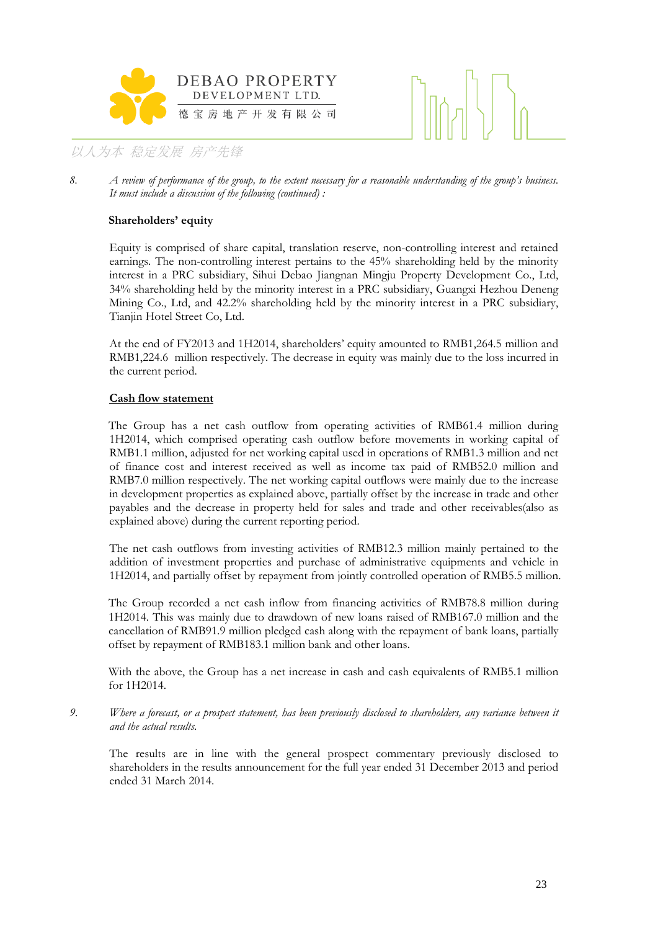



*8. A review of performance of the group, to the extent necessary for a reasonable understanding of the group's business. It must include a discussion of the following (continued) :* 

### **Shareholders' equity**

Equity is comprised of share capital, translation reserve, non-controlling interest and retained earnings. The non-controlling interest pertains to the 45% shareholding held by the minority interest in a PRC subsidiary, Sihui Debao Jiangnan Mingju Property Development Co., Ltd, 34% shareholding held by the minority interest in a PRC subsidiary, Guangxi Hezhou Deneng Mining Co., Ltd, and 42.2% shareholding held by the minority interest in a PRC subsidiary, Tianjin Hotel Street Co, Ltd.

At the end of FY2013 and 1H2014, shareholders' equity amounted to RMB1,264.5 million and RMB1,224.6 million respectively. The decrease in equity was mainly due to the loss incurred in the current period.

### **Cash flow statement**

The Group has a net cash outflow from operating activities of RMB61.4 million during 1H2014, which comprised operating cash outflow before movements in working capital of RMB1.1 million, adjusted for net working capital used in operations of RMB1.3 million and net of finance cost and interest received as well as income tax paid of RMB52.0 million and RMB7.0 million respectively. The net working capital outflows were mainly due to the increase in development properties as explained above, partially offset by the increase in trade and other payables and the decrease in property held for sales and trade and other receivables(also as explained above) during the current reporting period.

The net cash outflows from investing activities of RMB12.3 million mainly pertained to the addition of investment properties and purchase of administrative equipments and vehicle in 1H2014, and partially offset by repayment from jointly controlled operation of RMB5.5 million.

The Group recorded a net cash inflow from financing activities of RMB78.8 million during 1H2014. This was mainly due to drawdown of new loans raised of RMB167.0 million and the cancellation of RMB91.9 million pledged cash along with the repayment of bank loans, partially offset by repayment of RMB183.1 million bank and other loans.

With the above, the Group has a net increase in cash and cash equivalents of RMB5.1 million for 1H2014.

*9. Where a forecast, or a prospect statement, has been previously disclosed to shareholders, any variance between it and the actual results.*

The results are in line with the general prospect commentary previously disclosed to shareholders in the results announcement for the full year ended 31 December 2013 and period ended 31 March 2014.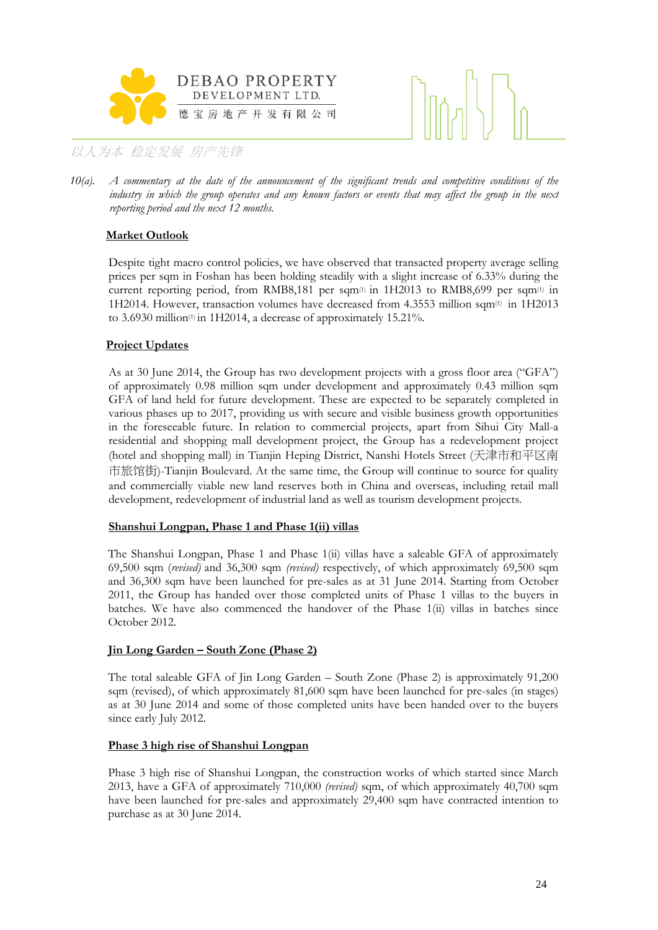



*10(a). A commentary at the date of the announcement of the significant trends and competitive conditions of the industry in which the group operates and any known factors or events that may affect the group in the next reporting period and the next 12 months.* 

### **Market Outlook**

Despite tight macro control policies, we have observed that transacted property average selling prices per sqm in Foshan has been holding steadily with a slight increase of 6.33% during the current reporting period, from RMB8,181 per sqm(1) in 1H2013 to RMB8,699 per sqm(1) in 1H2014. However, transaction volumes have decreased from 4.3553 million sqm<sup>(1)</sup> in 1H2013 to 3.6930 million<sup>(1)</sup> in 1H2014, a decrease of approximately 15.21%.

### **Project Updates**

As at 30 June 2014, the Group has two development projects with a gross floor area ("GFA") of approximately 0.98 million sqm under development and approximately 0.43 million sqm GFA of land held for future development. These are expected to be separately completed in various phases up to 2017, providing us with secure and visible business growth opportunities in the foreseeable future. In relation to commercial projects, apart from Sihui City Mall-a residential and shopping mall development project, the Group has a redevelopment project (hotel and shopping mall) in Tianjin Heping District, Nanshi Hotels Street (天津市和平区南 市旅馆街)-Tianjin Boulevard. At the same time, the Group will continue to source for quality and commercially viable new land reserves both in China and overseas, including retail mall development, redevelopment of industrial land as well as tourism development projects.

### **Shanshui Longpan, Phase 1 and Phase 1(ii) villas**

The Shanshui Longpan, Phase 1 and Phase 1(ii) villas have a saleable GFA of approximately 69,500 sqm (*revised)* and 36,300 sqm *(revised)* respectively, of which approximately 69,500 sqm and 36,300 sqm have been launched for pre-sales as at 31 June 2014. Starting from October 2011, the Group has handed over those completed units of Phase 1 villas to the buyers in batches. We have also commenced the handover of the Phase 1(ii) villas in batches since October 2012.

### **Jin Long Garden – South Zone (Phase 2)**

The total saleable GFA of Jin Long Garden – South Zone (Phase 2) is approximately 91,200 sqm (revised), of which approximately 81,600 sqm have been launched for pre-sales (in stages) as at 30 June 2014 and some of those completed units have been handed over to the buyers since early July 2012.

### **Phase 3 high rise of Shanshui Longpan**

Phase 3 high rise of Shanshui Longpan, the construction works of which started since March 2013, have a GFA of approximately 710,000 *(revised)* sqm, of which approximately 40,700 sqm have been launched for pre-sales and approximately 29,400 sqm have contracted intention to purchase as at 30 June 2014.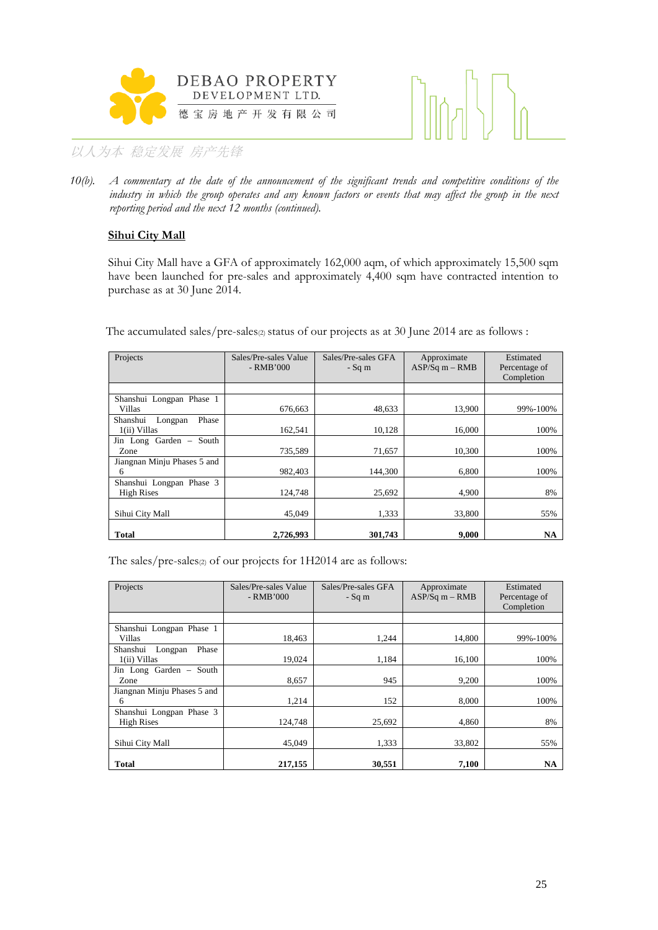



*10(b). A commentary at the date of the announcement of the significant trends and competitive conditions of the*  industry in which the group operates and any known factors or events that may affect the group in the next *reporting period and the next 12 months (continued).*

### **Sihui City Mall**

Sihui City Mall have a GFA of approximately 162,000 aqm, of which approximately 15,500 sqm have been launched for pre-sales and approximately 4,400 sqm have contracted intention to purchase as at 30 June 2014.

The accumulated sales/pre-sales $\varphi$  status of our projects as at 30 June 2014 are as follows :

| Projects                                       | Sales/Pre-sales Value<br>- RMB'000 | Sales/Pre-sales GFA<br>$-Sq$ m | Approximate<br>$ASP/Sq$ m – RMB | Estimated<br>Percentage of<br>Completion |
|------------------------------------------------|------------------------------------|--------------------------------|---------------------------------|------------------------------------------|
|                                                |                                    |                                |                                 |                                          |
| Shanshui Longpan Phase 1<br>Villas             | 676,663                            | 48,633                         | 13,900                          | 99%-100%                                 |
| Phase<br>Shanshui<br>Longpan<br>$1(ii)$ Villas | 162,541                            | 10,128                         | 16.000                          | 100%                                     |
| Jin Long Garden - South<br>Zone                | 735,589                            | 71,657                         | 10,300                          | 100%                                     |
| Jiangnan Minju Phases 5 and<br>6               | 982.403                            | 144.300                        | 6.800                           | 100%                                     |
| Shanshui Longpan Phase 3<br><b>High Rises</b>  | 124.748                            | 25,692                         | 4.900                           | 8%                                       |
| Sihui City Mall                                | 45.049                             | 1,333                          | 33.800                          | 55%                                      |
| Total                                          | 2,726,993                          | 301.743                        | 9.000                           | NA                                       |

The sales/pre-sales(2) of our projects for 1H2014 are as follows:

| Projects                                      | Sales/Pre-sales Value<br>$-RMB'000$ | Sales/Pre-sales GFA<br>$-Sq$ m | Approximate<br>$ASP/Sq m - RMB$ | Estimated<br>Percentage of<br>Completion |
|-----------------------------------------------|-------------------------------------|--------------------------------|---------------------------------|------------------------------------------|
|                                               |                                     |                                |                                 |                                          |
| Shanshui Longpan Phase 1<br>Villas            | 18.463                              | 1.244                          | 14.800                          | 99%-100%                                 |
| Shanshui Longpan<br>Phase<br>$1(ii)$ Villas   | 19,024                              | 1,184                          | 16,100                          | 100%                                     |
| Jin Long Garden - South<br>Zone               | 8,657                               | 945                            | 9,200                           | 100%                                     |
| Jiangnan Minju Phases 5 and<br>6              | 1.214                               | 152                            | 8.000                           | 100%                                     |
| Shanshui Longpan Phase 3<br><b>High Rises</b> | 124,748                             | 25,692                         | 4.860                           | 8%                                       |
| Sihui City Mall                               | 45,049                              | 1.333                          | 33.802                          | 55%                                      |
| <b>Total</b>                                  | 217,155                             | 30,551                         | 7,100                           | NA                                       |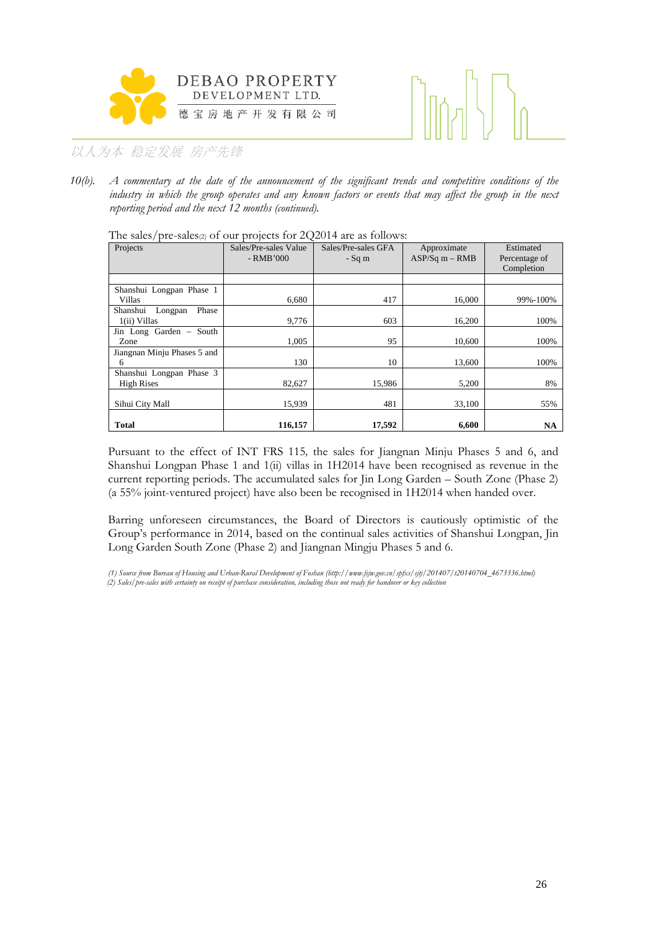



*10(b). A commentary at the date of the announcement of the significant trends and competitive conditions of the industry in which the group operates and any known factors or events that may affect the group in the next reporting period and the next 12 months (continued).*

The sales/pre-sales $(z)$  of our projects for 2Q2014 are as follows:

| Projects                                      | Sales/Pre-sales Value<br>$-RMB'000$ | Sales/Pre-sales GFA<br>$-Sq$ m | Approximate<br>$ASP/Sq$ m $-$ RMB | Estimated<br>Percentage of<br>Completion |
|-----------------------------------------------|-------------------------------------|--------------------------------|-----------------------------------|------------------------------------------|
|                                               |                                     |                                |                                   |                                          |
| Shanshui Longpan Phase 1<br>Villas            | 6,680                               | 417                            | 16,000                            | 99%-100%                                 |
| Phase<br>Shanshui Longpan<br>$1(ii)$ Villas   | 9,776                               | 603                            | 16,200                            | 100%                                     |
| Jin Long Garden - South<br>Zone               | 1,005                               | 95                             | 10,600                            | 100%                                     |
| Jiangnan Minju Phases 5 and<br>6              | 130                                 | 10                             | 13,600                            | 100%                                     |
| Shanshui Longpan Phase 3<br><b>High Rises</b> | 82,627                              | 15,986                         | 5,200                             | 8%                                       |
| Sihui City Mall                               | 15,939                              | 481                            | 33,100                            | 55%                                      |
| <b>Total</b>                                  | 116,157                             | 17,592                         | 6,600                             | NA                                       |

Pursuant to the effect of INT FRS 115*,* the sales for Jiangnan Minju Phases 5 and 6, and Shanshui Longpan Phase 1 and 1(ii) villas in 1H2014 have been recognised as revenue in the current reporting periods. The accumulated sales for Jin Long Garden – South Zone (Phase 2) (a 55% joint-ventured project) have also been be recognised in 1H2014 when handed over.

Barring unforeseen circumstances, the Board of Directors is cautiously optimistic of the Group's performance in 2014, based on the continual sales activities of Shanshui Longpan, Jin Long Garden South Zone (Phase 2) and Jiangnan Mingju Phases 5 and 6.

*(1) Source from Bureau of Housing and Urban-Rural Development of Foshan (http://www.fsjw.gov.cn/spfxs/sjtj/201407/t20140704\_4673336.html) (2) Sales/pre-sales with certainty on receipt of purchase consideration, including those not ready for handover or key collection*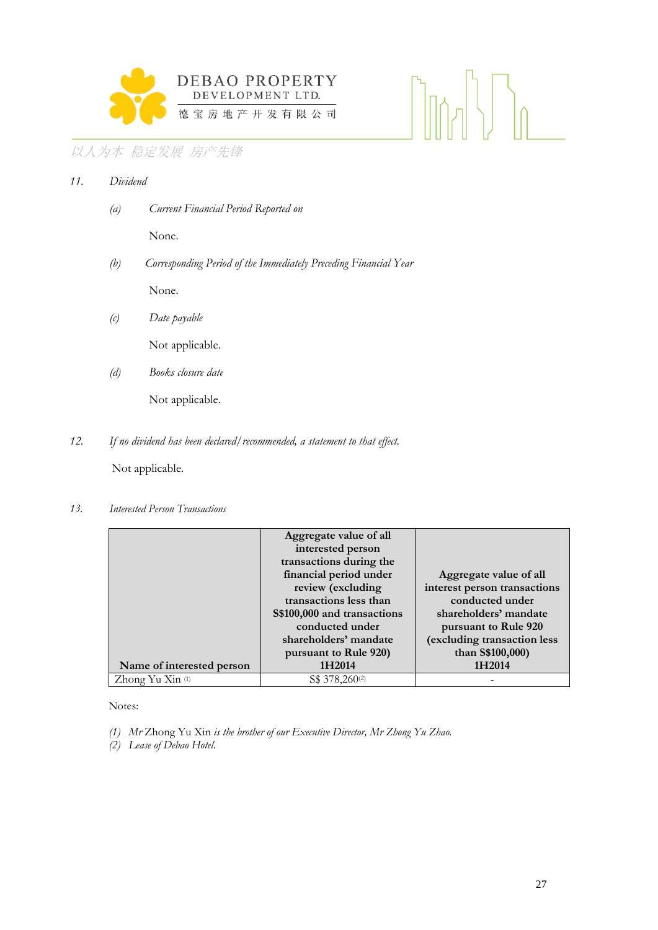

| 11. | Dividend |                                                                  |
|-----|----------|------------------------------------------------------------------|
|     | (a)      | <b>Current Financial Period Reported on</b>                      |
|     |          | None.                                                            |
|     | (b)      | Corresponding Period of the Immediately Preceding Financial Year |
|     |          | None.                                                            |
|     | (c)      | Date payable                                                     |
|     |          | Not applicable.                                                  |
|     |          |                                                                  |

 *(d) Books closure date* 

Not applicable.

*12. If no dividend has been declared/recommended, a statement to that effect.* 

Not applicable.

*13. Interested Person Transactions* 

|                             | Aggregate value of all      |                              |
|-----------------------------|-----------------------------|------------------------------|
|                             | interested person           |                              |
|                             | transactions during the     |                              |
|                             | financial period under      | Aggregate value of all       |
|                             | review (excluding           | interest person transactions |
|                             | transactions less than      | conducted under              |
|                             | S\$100,000 and transactions | shareholders' mandate        |
|                             | conducted under             | pursuant to Rule 920         |
|                             | shareholders' mandate       | (excluding transaction less  |
|                             | pursuant to Rule 920)       | than S\$100,000)             |
| Name of interested person   | 1H2014                      | 1H2014                       |
| Zhong Yu Xin <sup>(1)</sup> | S\$ 378,260 <sup>(2)</sup>  |                              |

Notes:

*(1) Mr* Zhong Yu Xin *is the brother of our Executive Director, Mr Zhong Yu Zhao.* 

*(2) Lease of Debao Hotel.*